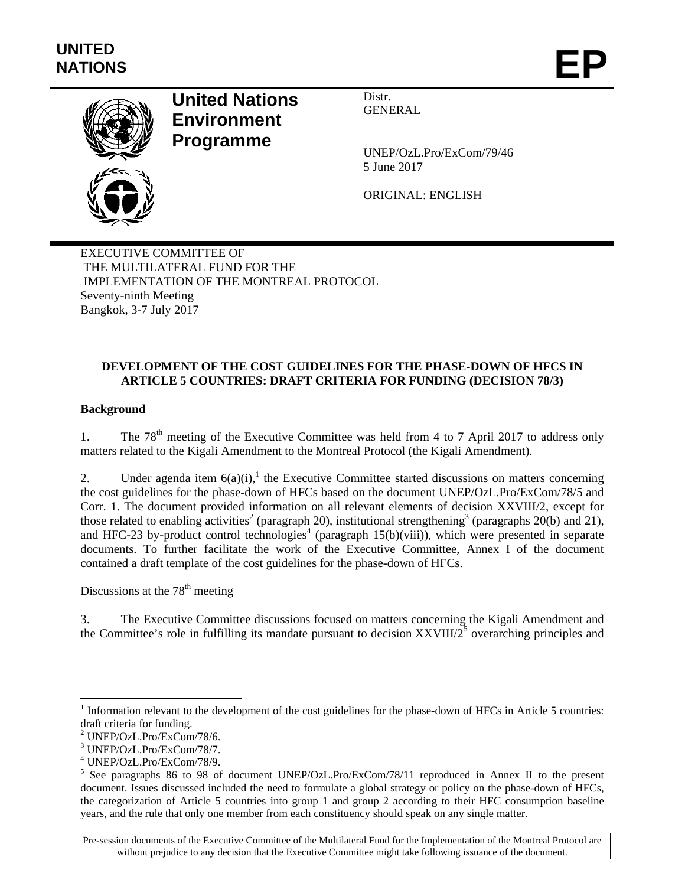

# **United Nations Environment Programme**

Distr. GENERAL

UNEP/OzL.Pro/ExCom/79/46 5 June 2017

ORIGINAL: ENGLISH

EXECUTIVE COMMITTEE OF THE MULTILATERAL FUND FOR THE IMPLEMENTATION OF THE MONTREAL PROTOCOL Seventy-ninth Meeting Bangkok, 3-7 July 2017

# **DEVELOPMENT OF THE COST GUIDELINES FOR THE PHASE-DOWN OF HFCS IN ARTICLE 5 COUNTRIES: DRAFT CRITERIA FOR FUNDING (DECISION 78/3)**

# **Background**

1. The  $78<sup>th</sup>$  meeting of the Executive Committee was held from 4 to 7 April 2017 to address only matters related to the Kigali Amendment to the Montreal Protocol (the Kigali Amendment).

2. Under agenda item  $6(a)(i)$ ,<sup>1</sup> the Executive Committee started discussions on matters concerning the cost guidelines for the phase-down of HFCs based on the document UNEP/OzL.Pro/ExCom/78/5 and Corr. 1. The document provided information on all relevant elements of decision XXVIII/2, except for those related to enabling activities<sup>2</sup> (paragraph 20), institutional strengthening<sup>3</sup> (paragraphs 20(b) and 21), and HFC-23 by-product control technologies<sup>4</sup> (paragraph  $15(b)(viii)$ ), which were presented in separate documents. To further facilitate the work of the Executive Committee, Annex I of the document contained a draft template of the cost guidelines for the phase-down of HFCs.

# Discussions at the  $78<sup>th</sup>$  meeting

3. The Executive Committee discussions focused on matters concerning the Kigali Amendment and the Committee's role in fulfilling its mandate pursuant to decision  $XXVIII/2^5$  overarching principles and

1

Pre-session documents of the Executive Committee of the Multilateral Fund for the Implementation of the Montreal Protocol are without prejudice to any decision that the Executive Committee might take following issuance of the document.

 $1$  Information relevant to the development of the cost guidelines for the phase-down of HFCs in Article 5 countries: draft criteria for funding.

<sup>2</sup> UNEP/OzL.Pro/ExCom/78/6.

<sup>3</sup> UNEP/OzL.Pro/ExCom/78/7.

<sup>4</sup> UNEP/OzL.Pro/ExCom/78/9.

<sup>&</sup>lt;sup>5</sup> See paragraphs 86 to 98 of document UNEP/OzL.Pro/ExCom/78/11 reproduced in Annex II to the present document. Issues discussed included the need to formulate a global strategy or policy on the phase-down of HFCs, the categorization of Article 5 countries into group 1 and group 2 according to their HFC consumption baseline years, and the rule that only one member from each constituency should speak on any single matter.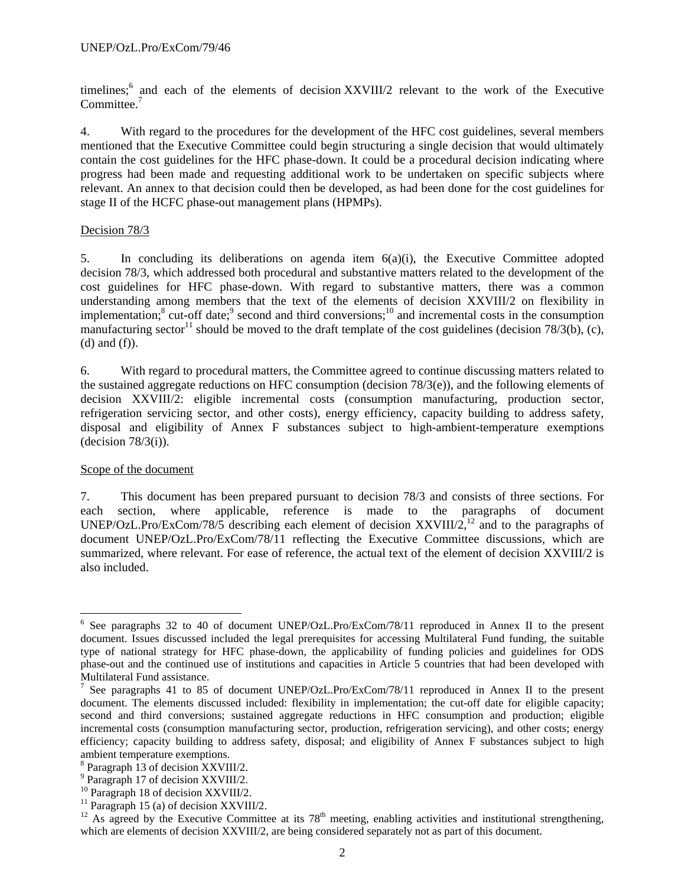timelines;<sup>6</sup> and each of the elements of decision XXVIII/2 relevant to the work of the Executive Committee.<sup>7</sup>

4. With regard to the procedures for the development of the HFC cost guidelines, several members mentioned that the Executive Committee could begin structuring a single decision that would ultimately contain the cost guidelines for the HFC phase-down. It could be a procedural decision indicating where progress had been made and requesting additional work to be undertaken on specific subjects where relevant. An annex to that decision could then be developed, as had been done for the cost guidelines for stage II of the HCFC phase-out management plans (HPMPs).

#### Decision 78/3

5. In concluding its deliberations on agenda item 6(a)(i), the Executive Committee adopted decision 78/3, which addressed both procedural and substantive matters related to the development of the cost guidelines for HFC phase-down. With regard to substantive matters, there was a common understanding among members that the text of the elements of decision XXVIII/2 on flexibility in implementation;<sup>8</sup> cut-off date;<sup>9</sup> second and third conversions;<sup>10</sup> and incremental costs in the consumption manufacturing sector<sup>11</sup> should be moved to the draft template of the cost guidelines (decision 78/3(b), (c), (d) and (f)).

6. With regard to procedural matters, the Committee agreed to continue discussing matters related to the sustained aggregate reductions on HFC consumption (decision  $78/3(e)$ ), and the following elements of decision XXVIII/2: eligible incremental costs (consumption manufacturing, production sector, refrigeration servicing sector, and other costs), energy efficiency, capacity building to address safety, disposal and eligibility of Annex F substances subject to high-ambient-temperature exemptions  $(decision 78/3(i)).$ 

#### Scope of the document

1

7. This document has been prepared pursuant to decision 78/3 and consists of three sections. For each section, where applicable, reference is made to the paragraphs of document UNEP/OzL.Pro/ExCom/78/5 describing each element of decision XXVIII/2,<sup>12</sup> and to the paragraphs of document UNEP/OzL.Pro/ExCom/78/11 reflecting the Executive Committee discussions, which are summarized, where relevant. For ease of reference, the actual text of the element of decision XXVIII/2 is also included.

<sup>&</sup>lt;sup>6</sup> See paragraphs 32 to 40 of document UNEP/OzL.Pro/ExCom/78/11 reproduced in Annex II to the present document. Issues discussed included the legal prerequisites for accessing Multilateral Fund funding, the suitable type of national strategy for HFC phase-down, the applicability of funding policies and guidelines for ODS phase-out and the continued use of institutions and capacities in Article 5 countries that had been developed with Multilateral Fund assistance.

<sup>&</sup>lt;sup>7</sup> See paragraphs 41 to 85 of document UNEP/OzL.Pro/ExCom/78/11 reproduced in Annex II to the present document. The elements discussed included: flexibility in implementation; the cut-off date for eligible capacity; second and third conversions; sustained aggregate reductions in HFC consumption and production; eligible incremental costs (consumption manufacturing sector, production, refrigeration servicing), and other costs; energy efficiency; capacity building to address safety, disposal; and eligibility of Annex F substances subject to high ambient temperature exemptions.

<sup>8</sup> Paragraph 13 of decision XXVIII/2.

<sup>9</sup> Paragraph 17 of decision XXVIII/2.

 $^{10}$  Paragraph 18 of decision XXVIII/2.

 $11$  Paragraph 15 (a) of decision XXVIII/2.

<sup>&</sup>lt;sup>12</sup> As agreed by the Executive Committee at its  $78<sup>th</sup>$  meeting, enabling activities and institutional strengthening, which are elements of decision XXVIII/2, are being considered separately not as part of this document.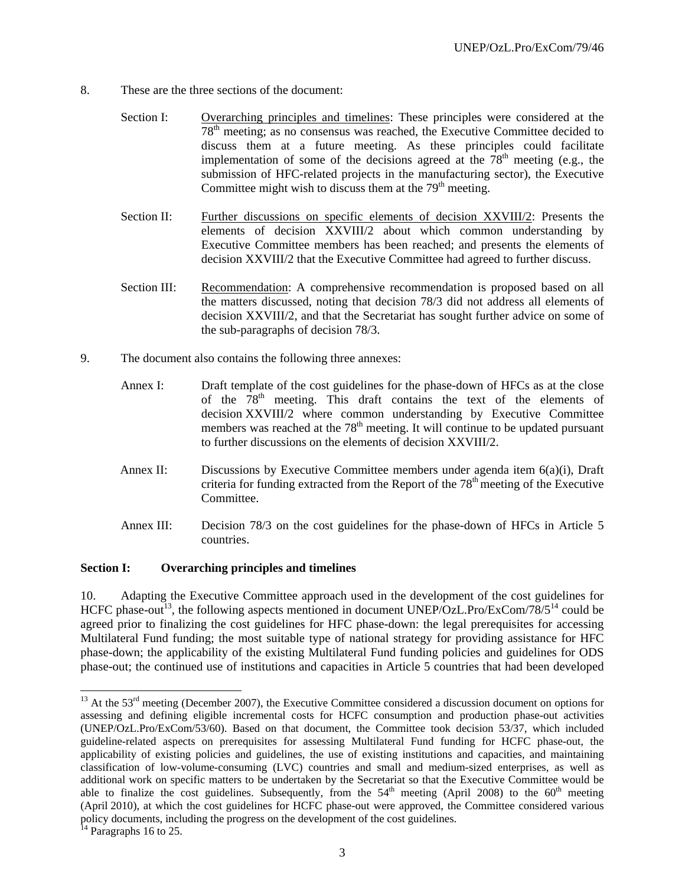- 8. These are the three sections of the document:
	- Section I: Overarching principles and timelines: These principles were considered at the  $78<sup>th</sup>$  meeting; as no consensus was reached, the Executive Committee decided to discuss them at a future meeting. As these principles could facilitate implementation of some of the decisions agreed at the  $78<sup>th</sup>$  meeting (e.g., the submission of HFC-related projects in the manufacturing sector), the Executive Committee might wish to discuss them at the  $79<sup>th</sup>$  meeting.
	- Section II: Further discussions on specific elements of decision XXVIII/2: Presents the elements of decision XXVIII/2 about which common understanding by Executive Committee members has been reached; and presents the elements of decision XXVIII/2 that the Executive Committee had agreed to further discuss.
	- Section III: Recommendation: A comprehensive recommendation is proposed based on all the matters discussed, noting that decision 78/3 did not address all elements of decision XXVIII/2, and that the Secretariat has sought further advice on some of the sub-paragraphs of decision 78/3.
- 9. The document also contains the following three annexes:
	- Annex I: Draft template of the cost guidelines for the phase-down of HFCs as at the close of the  $78<sup>th</sup>$  meeting. This draft contains the text of the elements of decision XXVIII/2 where common understanding by Executive Committee members was reached at the  $78<sup>th</sup>$  meeting. It will continue to be updated pursuant to further discussions on the elements of decision XXVIII/2.
	- Annex II: Discussions by Executive Committee members under agenda item 6(a)(i), Draft criteria for funding extracted from the Report of the  $78<sup>th</sup>$  meeting of the Executive Committee.
	- Annex III: Decision 78/3 on the cost guidelines for the phase-down of HFCs in Article 5 countries.

#### **Section I: Overarching principles and timelines**

10. Adapting the Executive Committee approach used in the development of the cost guidelines for HCFC phase-out<sup>13</sup>, the following aspects mentioned in document UNEP/OzL.Pro/ExCom/78/5<sup>14</sup> could be agreed prior to finalizing the cost guidelines for HFC phase-down: the legal prerequisites for accessing Multilateral Fund funding; the most suitable type of national strategy for providing assistance for HFC phase-down; the applicability of the existing Multilateral Fund funding policies and guidelines for ODS phase-out; the continued use of institutions and capacities in Article 5 countries that had been developed

l

<sup>&</sup>lt;sup>13</sup> At the 53<sup>rd</sup> meeting (December 2007), the Executive Committee considered a discussion document on options for assessing and defining eligible incremental costs for HCFC consumption and production phase-out activities (UNEP/OzL.Pro/ExCom/53/60). Based on that document, the Committee took decision 53/37, which included guideline-related aspects on prerequisites for assessing Multilateral Fund funding for HCFC phase-out, the applicability of existing policies and guidelines, the use of existing institutions and capacities, and maintaining classification of low-volume-consuming (LVC) countries and small and medium-sized enterprises, as well as additional work on specific matters to be undertaken by the Secretariat so that the Executive Committee would be able to finalize the cost guidelines. Subsequently, from the  $54<sup>th</sup>$  meeting (April 2008) to the  $60<sup>th</sup>$  meeting (April 2010), at which the cost guidelines for HCFC phase-out were approved, the Committee considered various policy documents, including the progress on the development of the cost guidelines.

 $14$  Paragraphs 16 to 25.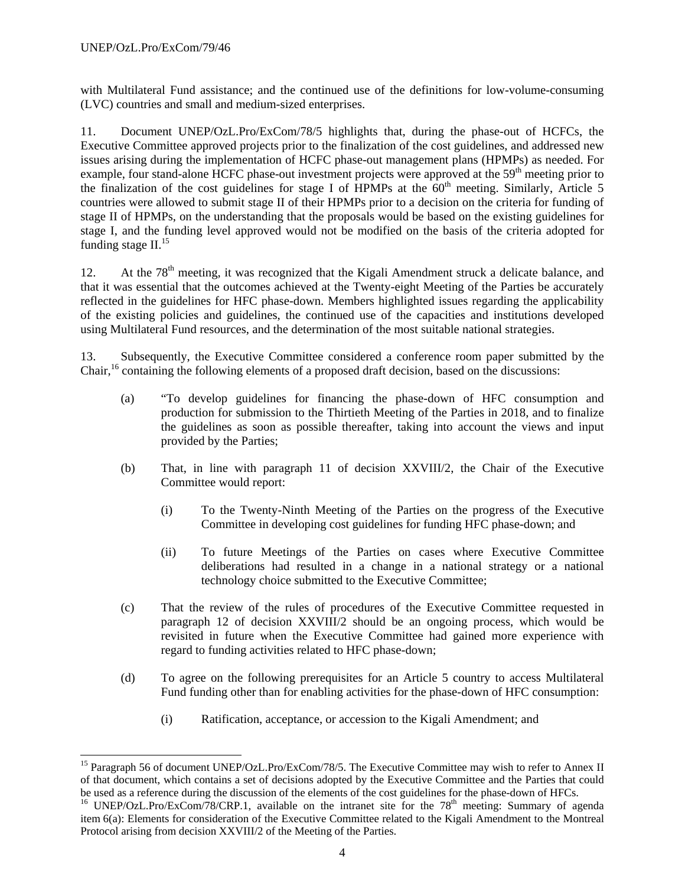-

with Multilateral Fund assistance; and the continued use of the definitions for low-volume-consuming (LVC) countries and small and medium-sized enterprises.

11. Document UNEP/OzL.Pro/ExCom/78/5 highlights that, during the phase-out of HCFCs, the Executive Committee approved projects prior to the finalization of the cost guidelines, and addressed new issues arising during the implementation of HCFC phase-out management plans (HPMPs) as needed. For example, four stand-alone HCFC phase-out investment projects were approved at the 59<sup>th</sup> meeting prior to the finalization of the cost guidelines for stage I of  $HPMPs$  at the  $60<sup>th</sup>$  meeting. Similarly, Article 5 countries were allowed to submit stage II of their HPMPs prior to a decision on the criteria for funding of stage II of HPMPs, on the understanding that the proposals would be based on the existing guidelines for stage I, and the funding level approved would not be modified on the basis of the criteria adopted for funding stage  $II^{15}$ .

12. At the 78<sup>th</sup> meeting, it was recognized that the Kigali Amendment struck a delicate balance, and that it was essential that the outcomes achieved at the Twenty-eight Meeting of the Parties be accurately reflected in the guidelines for HFC phase-down. Members highlighted issues regarding the applicability of the existing policies and guidelines, the continued use of the capacities and institutions developed using Multilateral Fund resources, and the determination of the most suitable national strategies.

13. Subsequently, the Executive Committee considered a conference room paper submitted by the Chair,<sup>16</sup> containing the following elements of a proposed draft decision, based on the discussions:

- (a) "To develop guidelines for financing the phase-down of HFC consumption and production for submission to the Thirtieth Meeting of the Parties in 2018, and to finalize the guidelines as soon as possible thereafter, taking into account the views and input provided by the Parties;
- (b) That, in line with paragraph 11 of decision XXVIII/2, the Chair of the Executive Committee would report:
	- (i) To the Twenty-Ninth Meeting of the Parties on the progress of the Executive Committee in developing cost guidelines for funding HFC phase-down; and
	- (ii) To future Meetings of the Parties on cases where Executive Committee deliberations had resulted in a change in a national strategy or a national technology choice submitted to the Executive Committee;
- (c) That the review of the rules of procedures of the Executive Committee requested in paragraph 12 of decision XXVIII/2 should be an ongoing process, which would be revisited in future when the Executive Committee had gained more experience with regard to funding activities related to HFC phase-down;
- (d) To agree on the following prerequisites for an Article 5 country to access Multilateral Fund funding other than for enabling activities for the phase-down of HFC consumption:
	- (i) Ratification, acceptance, or accession to the Kigali Amendment; and

<sup>&</sup>lt;sup>15</sup> Paragraph 56 of document UNEP/OzL.Pro/ExCom/78/5. The Executive Committee may wish to refer to Annex II of that document, which contains a set of decisions adopted by the Executive Committee and the Parties that could

be used as a reference during the discussion of the elements of the cost guidelines for the phase-down of HFCs.  $^{16}$  UNEP/OzL.Pro/ExCom/78/CRP.1, available on the intranet site for the 78<sup>th</sup> meeting: Summary of agenda item 6(a): Elements for consideration of the Executive Committee related to the Kigali Amendment to the Montreal Protocol arising from decision XXVIII/2 of the Meeting of the Parties.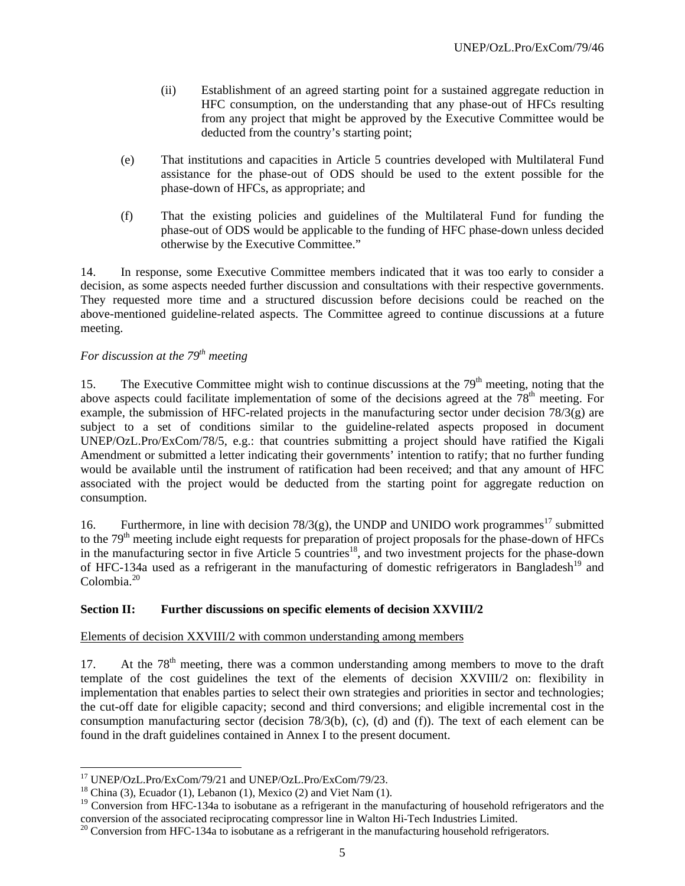- (ii) Establishment of an agreed starting point for a sustained aggregate reduction in HFC consumption, on the understanding that any phase-out of HFCs resulting from any project that might be approved by the Executive Committee would be deducted from the country's starting point;
- (e) That institutions and capacities in Article 5 countries developed with Multilateral Fund assistance for the phase-out of ODS should be used to the extent possible for the phase-down of HFCs, as appropriate; and
- (f) That the existing policies and guidelines of the Multilateral Fund for funding the phase-out of ODS would be applicable to the funding of HFC phase-down unless decided otherwise by the Executive Committee."

14. In response, some Executive Committee members indicated that it was too early to consider a decision, as some aspects needed further discussion and consultations with their respective governments. They requested more time and a structured discussion before decisions could be reached on the above-mentioned guideline-related aspects. The Committee agreed to continue discussions at a future meeting.

# *For discussion at the 79<sup>th</sup> meeting*

15. The Executive Committee might wish to continue discussions at the 79<sup>th</sup> meeting, noting that the above aspects could facilitate implementation of some of the decisions agreed at the 78<sup>th</sup> meeting. For example, the submission of HFC-related projects in the manufacturing sector under decision 78/3(g) are subject to a set of conditions similar to the guideline-related aspects proposed in document UNEP/OzL.Pro/ExCom/78/5, e.g.: that countries submitting a project should have ratified the Kigali Amendment or submitted a letter indicating their governments' intention to ratify; that no further funding would be available until the instrument of ratification had been received; and that any amount of HFC associated with the project would be deducted from the starting point for aggregate reduction on consumption.

16. Furthermore, in line with decision  $78/3(g)$ , the UNDP and UNIDO work programmes<sup>17</sup> submitted to the 79<sup>th</sup> meeting include eight requests for preparation of project proposals for the phase-down of HFCs in the manufacturing sector in five Article 5 countries<sup>18</sup>, and two investment projects for the phase-down of HFC-134a used as a refrigerant in the manufacturing of domestic refrigerators in Bangladesh<sup>19</sup> and Colombia.<sup>20</sup>

# **Section II: Further discussions on specific elements of decision XXVIII/2**

#### Elements of decision XXVIII/2 with common understanding among members

17. At the  $78<sup>th</sup>$  meeting, there was a common understanding among members to move to the draft template of the cost guidelines the text of the elements of decision XXVIII/2 on: flexibility in implementation that enables parties to select their own strategies and priorities in sector and technologies; the cut-off date for eligible capacity; second and third conversions; and eligible incremental cost in the consumption manufacturing sector (decision 78/3(b), (c), (d) and (f)). The text of each element can be found in the draft guidelines contained in Annex I to the present document.

1

<sup>&</sup>lt;sup>17</sup> UNEP/OzL.Pro/ExCom/79/21 and UNEP/OzL.Pro/ExCom/79/23.

 $18$  China (3), Ecuador (1), Lebanon (1), Mexico (2) and Viet Nam (1).

 $19$  Conversion from HFC-134a to isobutane as a refrigerant in the manufacturing of household refrigerators and the conversion of the associated reciprocating compressor line in Walton Hi-Tech Industries Limited. 20 Conversion from HFC-134a to isobutane as a refrigerant in the manufacturing household refrigerators.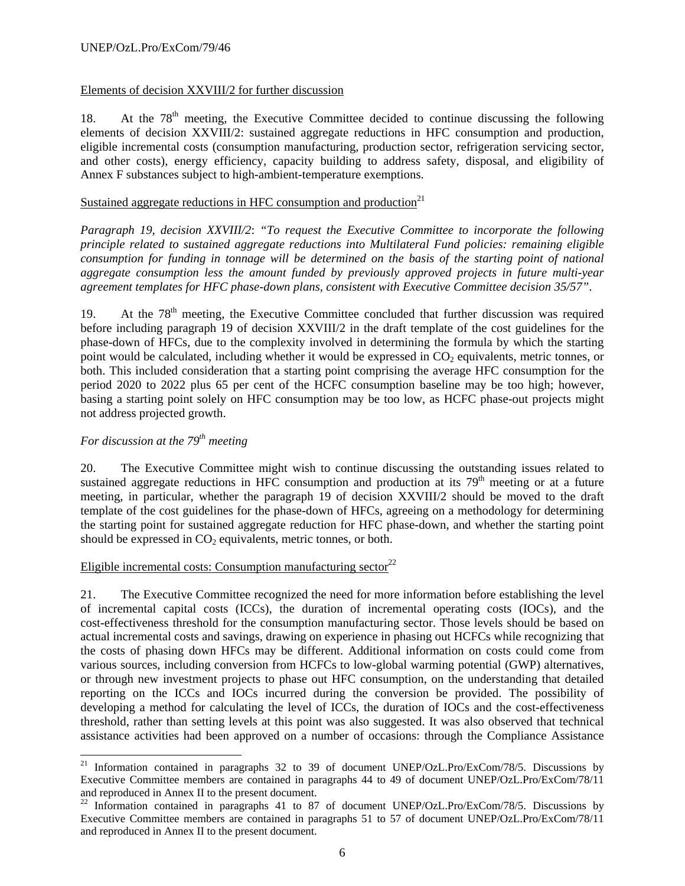# Elements of decision XXVIII/2 for further discussion

18. At the  $78<sup>th</sup>$  meeting, the Executive Committee decided to continue discussing the following elements of decision XXVIII/2: sustained aggregate reductions in HFC consumption and production, eligible incremental costs (consumption manufacturing, production sector, refrigeration servicing sector, and other costs), energy efficiency, capacity building to address safety, disposal, and eligibility of Annex F substances subject to high-ambient-temperature exemptions.

# Sustained aggregate reductions in HFC consumption and production $2<sup>1</sup>$

*Paragraph 19, decision XXVIII/2*: *"To request the Executive Committee to incorporate the following principle related to sustained aggregate reductions into Multilateral Fund policies: remaining eligible consumption for funding in tonnage will be determined on the basis of the starting point of national aggregate consumption less the amount funded by previously approved projects in future multi-year agreement templates for HFC phase-down plans, consistent with Executive Committee decision 35/57"*.

19. At the  $78<sup>th</sup>$  meeting, the Executive Committee concluded that further discussion was required before including paragraph 19 of decision XXVIII/2 in the draft template of the cost guidelines for the phase-down of HFCs, due to the complexity involved in determining the formula by which the starting point would be calculated, including whether it would be expressed in CO<sub>2</sub> equivalents, metric tonnes, or both. This included consideration that a starting point comprising the average HFC consumption for the period 2020 to 2022 plus 65 per cent of the HCFC consumption baseline may be too high; however, basing a starting point solely on HFC consumption may be too low, as HCFC phase-out projects might not address projected growth.

# *For discussion at the 79th meeting*

 $\overline{\phantom{a}}$ 

20. The Executive Committee might wish to continue discussing the outstanding issues related to sustained aggregate reductions in HFC consumption and production at its  $79<sup>th</sup>$  meeting or at a future meeting, in particular, whether the paragraph 19 of decision XXVIII/2 should be moved to the draft template of the cost guidelines for the phase-down of HFCs, agreeing on a methodology for determining the starting point for sustained aggregate reduction for HFC phase-down, and whether the starting point should be expressed in  $CO<sub>2</sub>$  equivalents, metric tonnes, or both.

## Eligible incremental costs: Consumption manufacturing sector<sup>22</sup>

21. The Executive Committee recognized the need for more information before establishing the level of incremental capital costs (ICCs), the duration of incremental operating costs (IOCs), and the cost-effectiveness threshold for the consumption manufacturing sector. Those levels should be based on actual incremental costs and savings, drawing on experience in phasing out HCFCs while recognizing that the costs of phasing down HFCs may be different. Additional information on costs could come from various sources, including conversion from HCFCs to low-global warming potential (GWP) alternatives, or through new investment projects to phase out HFC consumption, on the understanding that detailed reporting on the ICCs and IOCs incurred during the conversion be provided. The possibility of developing a method for calculating the level of ICCs, the duration of IOCs and the cost-effectiveness threshold, rather than setting levels at this point was also suggested. It was also observed that technical assistance activities had been approved on a number of occasions: through the Compliance Assistance

<sup>&</sup>lt;sup>21</sup> Information contained in paragraphs 32 to 39 of document UNEP/OzL.Pro/ExCom/78/5. Discussions by Executive Committee members are contained in paragraphs 44 to 49 of document UNEP/OzL.Pro/ExCom/78/11 and reproduced in Annex II to the present document.

 $^{22}$  Information contained in paragraphs 41 to 87 of document UNEP/OzL.Pro/ExCom/78/5. Discussions by Executive Committee members are contained in paragraphs 51 to 57 of document UNEP/OzL.Pro/ExCom/78/11 and reproduced in Annex II to the present document.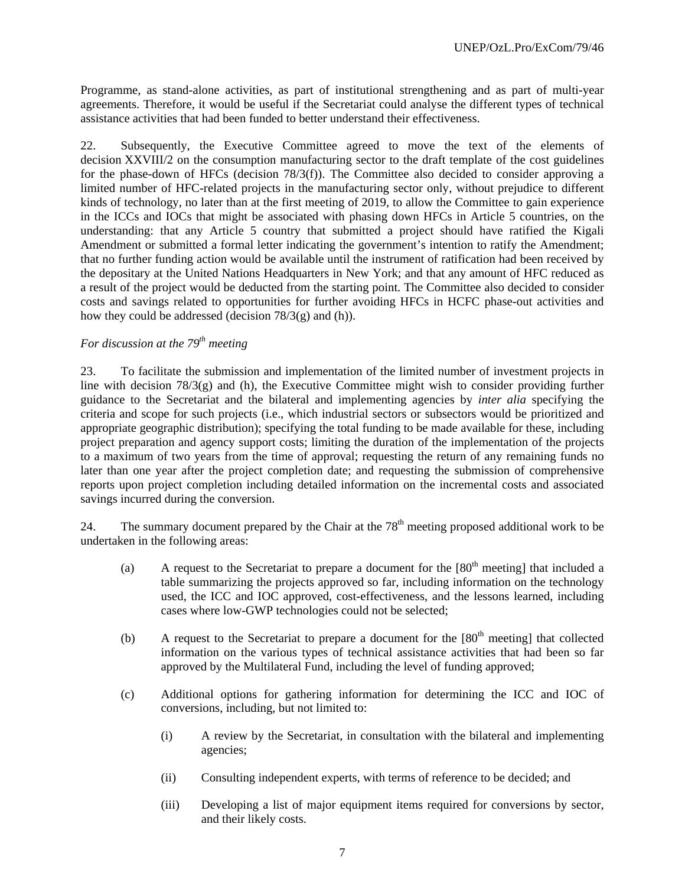Programme, as stand-alone activities, as part of institutional strengthening and as part of multi-year agreements. Therefore, it would be useful if the Secretariat could analyse the different types of technical assistance activities that had been funded to better understand their effectiveness.

22. Subsequently, the Executive Committee agreed to move the text of the elements of decision XXVIII/2 on the consumption manufacturing sector to the draft template of the cost guidelines for the phase-down of HFCs (decision 78/3(f)). The Committee also decided to consider approving a limited number of HFC-related projects in the manufacturing sector only, without prejudice to different kinds of technology, no later than at the first meeting of 2019, to allow the Committee to gain experience in the ICCs and IOCs that might be associated with phasing down HFCs in Article 5 countries, on the understanding: that any Article 5 country that submitted a project should have ratified the Kigali Amendment or submitted a formal letter indicating the government's intention to ratify the Amendment; that no further funding action would be available until the instrument of ratification had been received by the depositary at the United Nations Headquarters in New York; and that any amount of HFC reduced as a result of the project would be deducted from the starting point. The Committee also decided to consider costs and savings related to opportunities for further avoiding HFCs in HCFC phase-out activities and how they could be addressed (decision  $78/3$ (g) and (h)).

# *For discussion at the 79<sup>th</sup> meeting*

23. To facilitate the submission and implementation of the limited number of investment projects in line with decision  $78/3(g)$  and (h), the Executive Committee might wish to consider providing further guidance to the Secretariat and the bilateral and implementing agencies by *inter alia* specifying the criteria and scope for such projects (i.e., which industrial sectors or subsectors would be prioritized and appropriate geographic distribution); specifying the total funding to be made available for these, including project preparation and agency support costs; limiting the duration of the implementation of the projects to a maximum of two years from the time of approval; requesting the return of any remaining funds no later than one year after the project completion date; and requesting the submission of comprehensive reports upon project completion including detailed information on the incremental costs and associated savings incurred during the conversion.

24. The summary document prepared by the Chair at the  $78<sup>th</sup>$  meeting proposed additional work to be undertaken in the following areas:

- (a) A request to the Secretariat to prepare a document for the  $[80<sup>th</sup>$  meeting] that included a table summarizing the projects approved so far, including information on the technology used, the ICC and IOC approved, cost-effectiveness, and the lessons learned, including cases where low-GWP technologies could not be selected;
- (b) A request to the Secretariat to prepare a document for the  $[80<sup>th</sup>$  meeting] that collected information on the various types of technical assistance activities that had been so far approved by the Multilateral Fund, including the level of funding approved;
- (c) Additional options for gathering information for determining the ICC and IOC of conversions, including, but not limited to:
	- (i) A review by the Secretariat, in consultation with the bilateral and implementing agencies;
	- (ii) Consulting independent experts, with terms of reference to be decided; and
	- (iii) Developing a list of major equipment items required for conversions by sector, and their likely costs.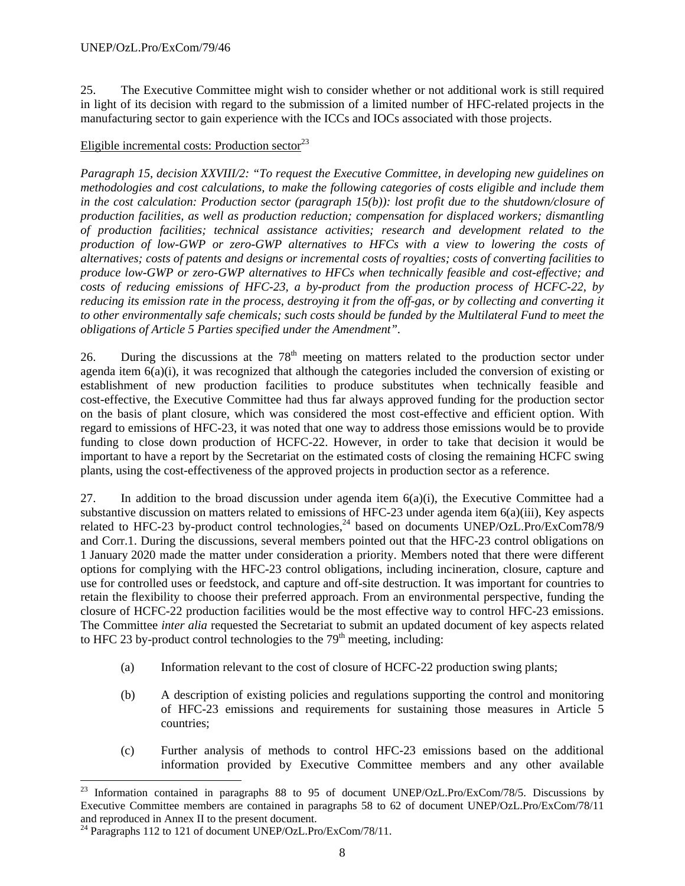25. The Executive Committee might wish to consider whether or not additional work is still required in light of its decision with regard to the submission of a limited number of HFC-related projects in the manufacturing sector to gain experience with the ICCs and IOCs associated with those projects.

# Eligible incremental costs: Production sector $^{23}$

*Paragraph 15, decision XXVIII/2: "To request the Executive Committee, in developing new guidelines on methodologies and cost calculations, to make the following categories of costs eligible and include them in the cost calculation: Production sector (paragraph 15(b)): lost profit due to the shutdown/closure of production facilities, as well as production reduction; compensation for displaced workers; dismantling of production facilities; technical assistance activities; research and development related to the production of low-GWP or zero-GWP alternatives to HFCs with a view to lowering the costs of alternatives; costs of patents and designs or incremental costs of royalties; costs of converting facilities to produce low-GWP or zero-GWP alternatives to HFCs when technically feasible and cost-effective; and costs of reducing emissions of HFC-23, a by-product from the production process of HCFC-22, by reducing its emission rate in the process, destroying it from the off-gas, or by collecting and converting it to other environmentally safe chemicals; such costs should be funded by the Multilateral Fund to meet the obligations of Article 5 Parties specified under the Amendment".* 

26. During the discussions at the  $78<sup>th</sup>$  meeting on matters related to the production sector under agenda item  $6(a)(i)$ , it was recognized that although the categories included the conversion of existing or establishment of new production facilities to produce substitutes when technically feasible and cost-effective, the Executive Committee had thus far always approved funding for the production sector on the basis of plant closure, which was considered the most cost-effective and efficient option. With regard to emissions of HFC-23, it was noted that one way to address those emissions would be to provide funding to close down production of HCFC-22. However, in order to take that decision it would be important to have a report by the Secretariat on the estimated costs of closing the remaining HCFC swing plants, using the cost-effectiveness of the approved projects in production sector as a reference.

27. In addition to the broad discussion under agenda item  $6(a)(i)$ , the Executive Committee had a substantive discussion on matters related to emissions of HFC-23 under agenda item 6(a)(iii), Key aspects related to HFC-23 by-product control technologies,<sup>24</sup> based on documents UNEP/OzL.Pro/ExCom78/9 and Corr.1. During the discussions, several members pointed out that the HFC-23 control obligations on 1 January 2020 made the matter under consideration a priority. Members noted that there were different options for complying with the HFC-23 control obligations, including incineration, closure, capture and use for controlled uses or feedstock, and capture and off-site destruction. It was important for countries to retain the flexibility to choose their preferred approach. From an environmental perspective, funding the closure of HCFC-22 production facilities would be the most effective way to control HFC-23 emissions. The Committee *inter alia* requested the Secretariat to submit an updated document of key aspects related to HFC 23 by-product control technologies to the  $79<sup>th</sup>$  meeting, including:

- (a) Information relevant to the cost of closure of HCFC-22 production swing plants;
- (b) A description of existing policies and regulations supporting the control and monitoring of HFC-23 emissions and requirements for sustaining those measures in Article 5 countries;
- (c) Further analysis of methods to control HFC-23 emissions based on the additional information provided by Executive Committee members and any other available

l <sup>23</sup> Information contained in paragraphs 88 to 95 of document UNEP/OzL.Pro/ExCom/78/5. Discussions by Executive Committee members are contained in paragraphs 58 to 62 of document UNEP/OzL.Pro/ExCom/78/11 and reproduced in Annex II to the present document.

<sup>&</sup>lt;sup>24</sup> Paragraphs 112 to 121 of document UNEP/OzL.Pro/ExCom/78/11.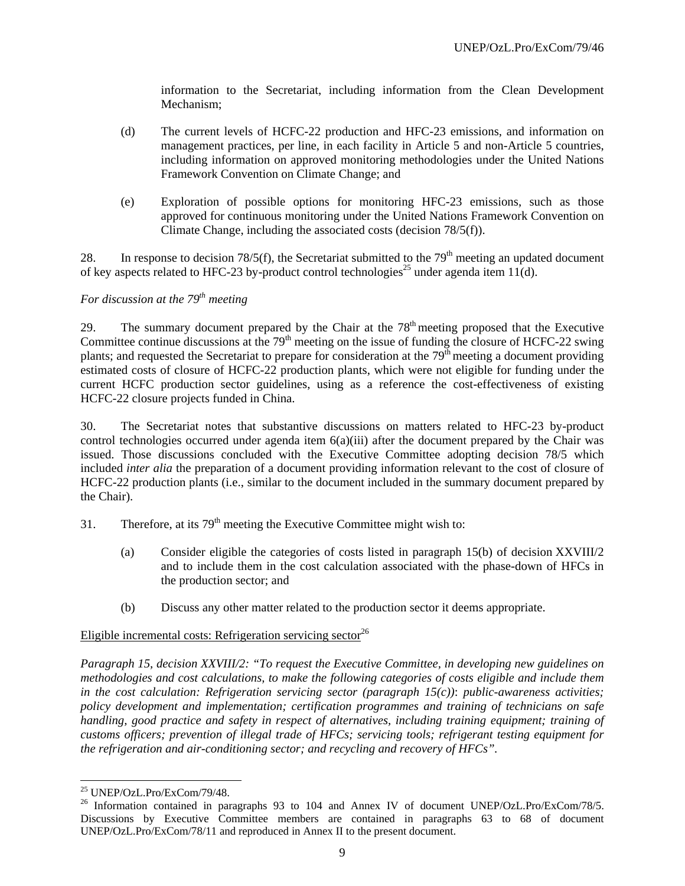information to the Secretariat, including information from the Clean Development Mechanism;

- (d) The current levels of HCFC-22 production and HFC-23 emissions, and information on management practices, per line, in each facility in Article 5 and non-Article 5 countries, including information on approved monitoring methodologies under the United Nations Framework Convention on Climate Change; and
- (e) Exploration of possible options for monitoring HFC-23 emissions, such as those approved for continuous monitoring under the United Nations Framework Convention on Climate Change, including the associated costs (decision 78/5(f)).

28. In response to decision 78/5(f), the Secretariat submitted to the 79<sup>th</sup> meeting an updated document of key aspects related to HFC-23 by-product control technologies<sup>25</sup> under agenda item 11(d).

# *For discussion at the 79<sup>th</sup> meeting*

29. The summary document prepared by the Chair at the  $78<sup>th</sup>$  meeting proposed that the Executive Committee continue discussions at the  $79<sup>th</sup>$  meeting on the issue of funding the closure of HCFC-22 swing plants; and requested the Secretariat to prepare for consideration at the  $79<sup>th</sup>$  meeting a document providing estimated costs of closure of HCFC-22 production plants, which were not eligible for funding under the current HCFC production sector guidelines, using as a reference the cost-effectiveness of existing HCFC-22 closure projects funded in China.

30. The Secretariat notes that substantive discussions on matters related to HFC-23 by-product control technologies occurred under agenda item  $6(a)(iii)$  after the document prepared by the Chair was issued. Those discussions concluded with the Executive Committee adopting decision 78/5 which included *inter alia* the preparation of a document providing information relevant to the cost of closure of HCFC-22 production plants (i.e., similar to the document included in the summary document prepared by the Chair).

- 31. Therefore, at its  $79<sup>th</sup>$  meeting the Executive Committee might wish to:
	- (a) Consider eligible the categories of costs listed in paragraph 15(b) of decision XXVIII/2 and to include them in the cost calculation associated with the phase-down of HFCs in the production sector; and
	- (b) Discuss any other matter related to the production sector it deems appropriate.

## Eligible incremental costs: Refrigeration servicing sector<sup>26</sup>

*Paragraph 15, decision XXVIII/2: "To request the Executive Committee, in developing new guidelines on methodologies and cost calculations, to make the following categories of costs eligible and include them in the cost calculation: Refrigeration servicing sector (paragraph 15(c))*: *public-awareness activities; policy development and implementation; certification programmes and training of technicians on safe handling, good practice and safety in respect of alternatives, including training equipment; training of customs officers; prevention of illegal trade of HFCs; servicing tools; refrigerant testing equipment for the refrigeration and air-conditioning sector; and recycling and recovery of HFCs".* 

<sup>1</sup> 25 UNEP/OzL.Pro/ExCom/79/48.

<sup>&</sup>lt;sup>26</sup> Information contained in paragraphs 93 to 104 and Annex IV of document UNEP/OzL.Pro/ExCom/78/5. Discussions by Executive Committee members are contained in paragraphs 63 to 68 of document UNEP/OzL.Pro/ExCom/78/11 and reproduced in Annex II to the present document.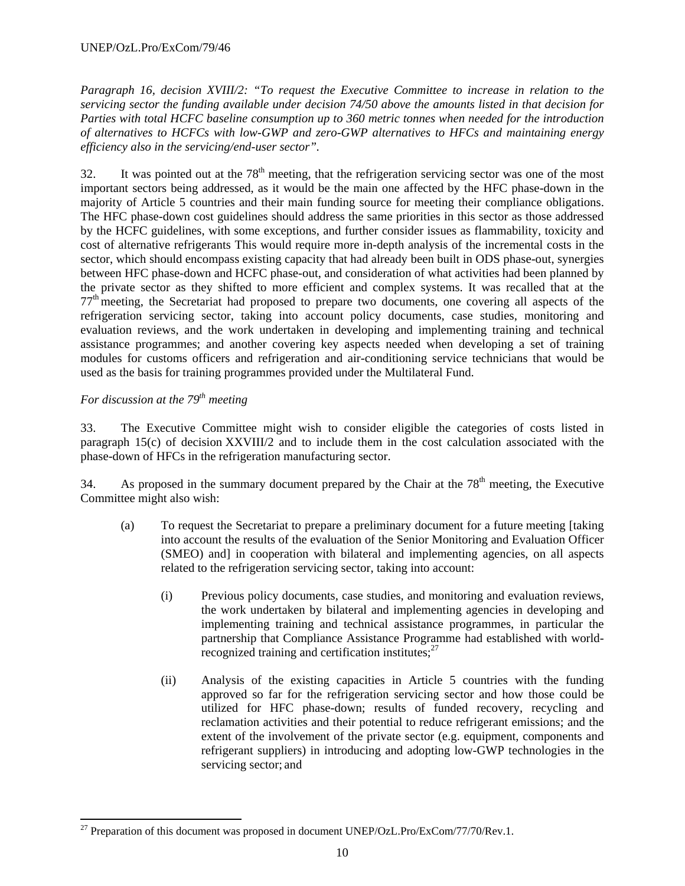*Paragraph 16, decision XVIII/2: "To request the Executive Committee to increase in relation to the servicing sector the funding available under decision 74/50 above the amounts listed in that decision for Parties with total HCFC baseline consumption up to 360 metric tonnes when needed for the introduction of alternatives to HCFCs with low-GWP and zero-GWP alternatives to HFCs and maintaining energy efficiency also in the servicing/end-user sector".* 

 $32.$  It was pointed out at the  $78<sup>th</sup>$  meeting, that the refrigeration servicing sector was one of the most important sectors being addressed, as it would be the main one affected by the HFC phase-down in the majority of Article 5 countries and their main funding source for meeting their compliance obligations. The HFC phase-down cost guidelines should address the same priorities in this sector as those addressed by the HCFC guidelines, with some exceptions, and further consider issues as flammability, toxicity and cost of alternative refrigerants This would require more in-depth analysis of the incremental costs in the sector, which should encompass existing capacity that had already been built in ODS phase-out, synergies between HFC phase-down and HCFC phase-out, and consideration of what activities had been planned by the private sector as they shifted to more efficient and complex systems. It was recalled that at the 77th meeting, the Secretariat had proposed to prepare two documents, one covering all aspects of the refrigeration servicing sector, taking into account policy documents, case studies, monitoring and evaluation reviews, and the work undertaken in developing and implementing training and technical assistance programmes; and another covering key aspects needed when developing a set of training modules for customs officers and refrigeration and air-conditioning service technicians that would be used as the basis for training programmes provided under the Multilateral Fund.

# *For discussion at the 79<sup>th</sup> meeting*

33. The Executive Committee might wish to consider eligible the categories of costs listed in paragraph 15(c) of decision XXVIII/2 and to include them in the cost calculation associated with the phase-down of HFCs in the refrigeration manufacturing sector.

34. As proposed in the summary document prepared by the Chair at the  $78<sup>th</sup>$  meeting, the Executive Committee might also wish:

- (a) To request the Secretariat to prepare a preliminary document for a future meeting [taking into account the results of the evaluation of the Senior Monitoring and Evaluation Officer (SMEO) and] in cooperation with bilateral and implementing agencies, on all aspects related to the refrigeration servicing sector, taking into account:
	- (i) Previous policy documents, case studies, and monitoring and evaluation reviews, the work undertaken by bilateral and implementing agencies in developing and implementing training and technical assistance programmes, in particular the partnership that Compliance Assistance Programme had established with worldrecognized training and certification institutes; $27$
	- (ii) Analysis of the existing capacities in Article 5 countries with the funding approved so far for the refrigeration servicing sector and how those could be utilized for HFC phase-down; results of funded recovery, recycling and reclamation activities and their potential to reduce refrigerant emissions; and the extent of the involvement of the private sector (e.g. equipment, components and refrigerant suppliers) in introducing and adopting low-GWP technologies in the servicing sector; and

<sup>1</sup>  $^{27}$  Preparation of this document was proposed in document UNEP/OzL.Pro/ExCom/77/70/Rev.1.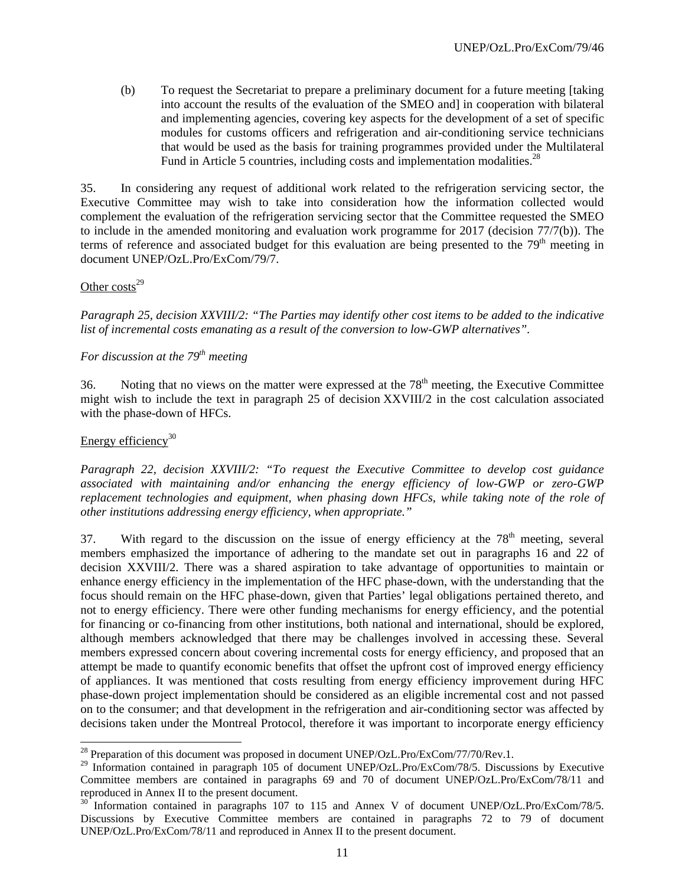(b) To request the Secretariat to prepare a preliminary document for a future meeting [taking into account the results of the evaluation of the SMEO and] in cooperation with bilateral and implementing agencies, covering key aspects for the development of a set of specific modules for customs officers and refrigeration and air-conditioning service technicians that would be used as the basis for training programmes provided under the Multilateral Fund in Article 5 countries, including costs and implementation modalities.<sup>28</sup>

35. In considering any request of additional work related to the refrigeration servicing sector, the Executive Committee may wish to take into consideration how the information collected would complement the evaluation of the refrigeration servicing sector that the Committee requested the SMEO to include in the amended monitoring and evaluation work programme for 2017 (decision 77/7(b)). The terms of reference and associated budget for this evaluation are being presented to the  $79<sup>th</sup>$  meeting in document UNEP/OzL.Pro/ExCom/79/7.

#### Other  $costs<sup>29</sup>$

*Paragraph 25, decision XXVIII/2: "The Parties may identify other cost items to be added to the indicative list of incremental costs emanating as a result of the conversion to low-GWP alternatives".* 

# *For discussion at the 79<sup>th</sup> meeting*

36. Noting that no views on the matter were expressed at the  $78<sup>th</sup>$  meeting, the Executive Committee might wish to include the text in paragraph 25 of decision XXVIII/2 in the cost calculation associated with the phase-down of HFCs.

#### Energy efficiency $30$

1

*Paragraph 22, decision XXVIII/2: "To request the Executive Committee to develop cost guidance associated with maintaining and/or enhancing the energy efficiency of low-GWP or zero-GWP*  replacement technologies and equipment, when phasing down HFCs, while taking note of the role of *other institutions addressing energy efficiency, when appropriate."*

37. With regard to the discussion on the issue of energy efficiency at the  $78<sup>th</sup>$  meeting, several members emphasized the importance of adhering to the mandate set out in paragraphs 16 and 22 of decision XXVIII/2. There was a shared aspiration to take advantage of opportunities to maintain or enhance energy efficiency in the implementation of the HFC phase-down, with the understanding that the focus should remain on the HFC phase-down, given that Parties' legal obligations pertained thereto, and not to energy efficiency. There were other funding mechanisms for energy efficiency, and the potential for financing or co-financing from other institutions, both national and international, should be explored, although members acknowledged that there may be challenges involved in accessing these. Several members expressed concern about covering incremental costs for energy efficiency, and proposed that an attempt be made to quantify economic benefits that offset the upfront cost of improved energy efficiency of appliances. It was mentioned that costs resulting from energy efficiency improvement during HFC phase-down project implementation should be considered as an eligible incremental cost and not passed on to the consumer; and that development in the refrigeration and air-conditioning sector was affected by decisions taken under the Montreal Protocol, therefore it was important to incorporate energy efficiency

 $^{28}$  Preparation of this document was proposed in document UNEP/OzL.Pro/ExCom/77/70/Rev.1.

<sup>&</sup>lt;sup>29</sup> Information contained in paragraph 105 of document UNEP/OzL.Pro/ExCom/78/5. Discussions by Executive Committee members are contained in paragraphs 69 and 70 of document UNEP/OzL.Pro/ExCom/78/11 and reproduced in Annex II to the present document.

 $30$  Information contained in paragraphs 107 to 115 and Annex V of document UNEP/OzL.Pro/ExCom/78/5. Discussions by Executive Committee members are contained in paragraphs 72 to 79 of document UNEP/OzL.Pro/ExCom/78/11 and reproduced in Annex II to the present document.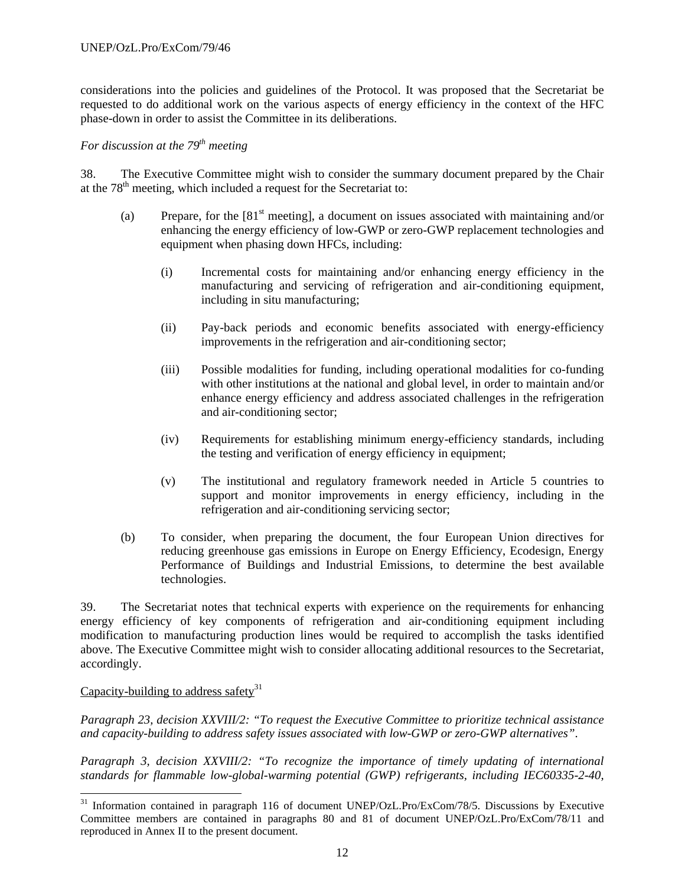considerations into the policies and guidelines of the Protocol. It was proposed that the Secretariat be requested to do additional work on the various aspects of energy efficiency in the context of the HFC phase-down in order to assist the Committee in its deliberations.

# *For discussion at the 79<sup>th</sup> meeting*

38. The Executive Committee might wish to consider the summary document prepared by the Chair at the  $78<sup>th</sup>$  meeting, which included a request for the Secretariat to:

- (a) Prepare, for the  $[81<sup>st</sup> meeting]$ , a document on issues associated with maintaining and/or enhancing the energy efficiency of low-GWP or zero-GWP replacement technologies and equipment when phasing down HFCs, including:
	- (i) Incremental costs for maintaining and/or enhancing energy efficiency in the manufacturing and servicing of refrigeration and air-conditioning equipment, including in situ manufacturing;
	- (ii) Pay-back periods and economic benefits associated with energy-efficiency improvements in the refrigeration and air-conditioning sector;
	- (iii) Possible modalities for funding, including operational modalities for co-funding with other institutions at the national and global level, in order to maintain and/or enhance energy efficiency and address associated challenges in the refrigeration and air-conditioning sector;
	- (iv) Requirements for establishing minimum energy-efficiency standards, including the testing and verification of energy efficiency in equipment;
	- (v) The institutional and regulatory framework needed in Article 5 countries to support and monitor improvements in energy efficiency, including in the refrigeration and air-conditioning servicing sector;
- (b) To consider, when preparing the document, the four European Union directives for reducing greenhouse gas emissions in Europe on Energy Efficiency, Ecodesign, Energy Performance of Buildings and Industrial Emissions, to determine the best available technologies.

39. The Secretariat notes that technical experts with experience on the requirements for enhancing energy efficiency of key components of refrigeration and air-conditioning equipment including modification to manufacturing production lines would be required to accomplish the tasks identified above. The Executive Committee might wish to consider allocating additional resources to the Secretariat, accordingly.

# Capacity-building to address safety $31$

-

*Paragraph 23, decision XXVIII/2: "To request the Executive Committee to prioritize technical assistance and capacity-building to address safety issues associated with low-GWP or zero-GWP alternatives"*.

*Paragraph 3, decision XXVIII/2: "To recognize the importance of timely updating of international standards for flammable low-global-warming potential (GWP) refrigerants, including IEC60335-2-40,* 

<sup>&</sup>lt;sup>31</sup> Information contained in paragraph 116 of document UNEP/OzL.Pro/ExCom/78/5. Discussions by Executive Committee members are contained in paragraphs 80 and 81 of document UNEP/OzL.Pro/ExCom/78/11 and reproduced in Annex II to the present document.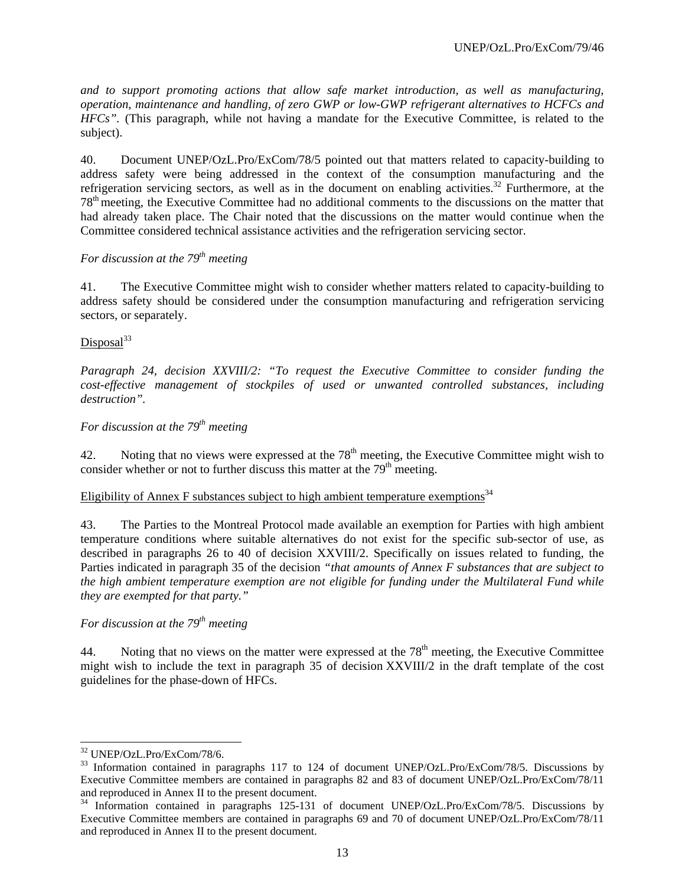*and to support promoting actions that allow safe market introduction, as well as manufacturing, operation, maintenance and handling, of zero GWP or low-GWP refrigerant alternatives to HCFCs and HFCs".* (This paragraph, while not having a mandate for the Executive Committee, is related to the subject).

40. Document UNEP/OzL.Pro/ExCom/78/5 pointed out that matters related to capacity-building to address safety were being addressed in the context of the consumption manufacturing and the refrigeration servicing sectors, as well as in the document on enabling activities.<sup>32</sup> Furthermore, at the 78th meeting, the Executive Committee had no additional comments to the discussions on the matter that had already taken place. The Chair noted that the discussions on the matter would continue when the Committee considered technical assistance activities and the refrigeration servicing sector.

# *For discussion at the 79<sup>th</sup> meeting*

41. The Executive Committee might wish to consider whether matters related to capacity-building to address safety should be considered under the consumption manufacturing and refrigeration servicing sectors, or separately.

# $Dis posal<sup>33</sup>$

*Paragraph 24, decision XXVIII/2: "To request the Executive Committee to consider funding the cost-effective management of stockpiles of used or unwanted controlled substances, including destruction".* 

# *For discussion at the 79<sup>th</sup> meeting*

42. Noting that no views were expressed at the  $78<sup>th</sup>$  meeting, the Executive Committee might wish to consider whether or not to further discuss this matter at the  $79<sup>th</sup>$  meeting.

# Eligibility of Annex F substances subject to high ambient temperature exemptions<sup>34</sup>

43. The Parties to the Montreal Protocol made available an exemption for Parties with high ambient temperature conditions where suitable alternatives do not exist for the specific sub-sector of use, as described in paragraphs 26 to 40 of decision XXVIII/2. Specifically on issues related to funding, the Parties indicated in paragraph 35 of the decision *"that amounts of Annex F substances that are subject to the high ambient temperature exemption are not eligible for funding under the Multilateral Fund while they are exempted for that party."*

# *For discussion at the 79<sup>th</sup> meeting*

44. Noting that no views on the matter were expressed at the  $78<sup>th</sup>$  meeting, the Executive Committee might wish to include the text in paragraph 35 of decision XXVIII/2 in the draft template of the cost guidelines for the phase-down of HFCs.

l 32 UNEP/OzL.Pro/ExCom/78/6.

<sup>&</sup>lt;sup>33</sup> Information contained in paragraphs 117 to 124 of document UNEP/OzL.Pro/ExCom/78/5. Discussions by Executive Committee members are contained in paragraphs 82 and 83 of document UNEP/OzL.Pro/ExCom/78/11 and reproduced in Annex II to the present document.

<sup>34</sup> Information contained in paragraphs 125-131 of document UNEP/OzL.Pro/ExCom/78/5. Discussions by Executive Committee members are contained in paragraphs 69 and 70 of document UNEP/OzL.Pro/ExCom/78/11 and reproduced in Annex II to the present document.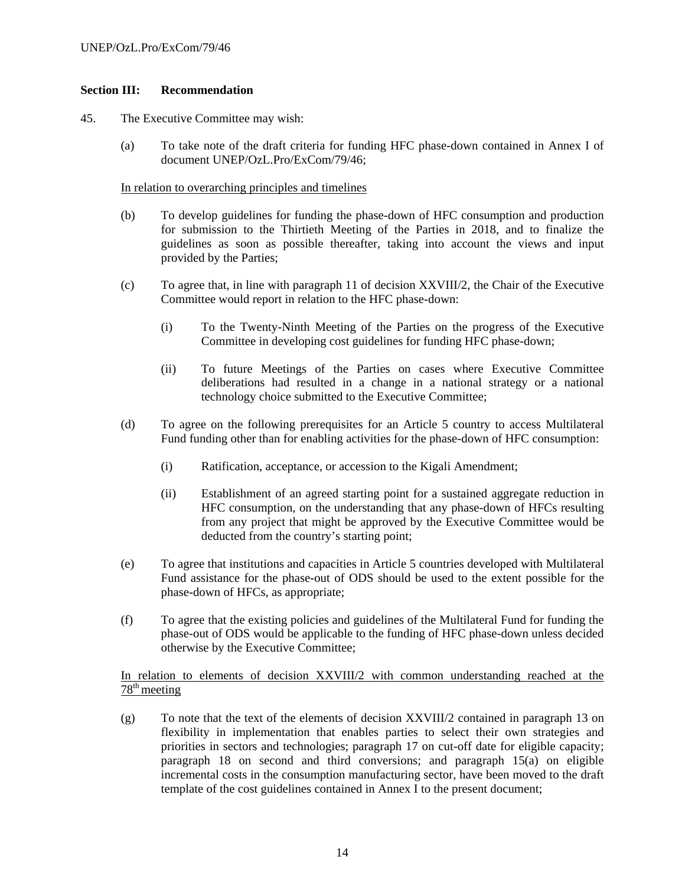# **Section III: Recommendation**

- 45. The Executive Committee may wish:
	- (a) To take note of the draft criteria for funding HFC phase-down contained in Annex I of document UNEP/OzL.Pro/ExCom/79/46;

#### In relation to overarching principles and timelines

- (b) To develop guidelines for funding the phase-down of HFC consumption and production for submission to the Thirtieth Meeting of the Parties in 2018, and to finalize the guidelines as soon as possible thereafter, taking into account the views and input provided by the Parties;
- (c) To agree that, in line with paragraph 11 of decision XXVIII/2, the Chair of the Executive Committee would report in relation to the HFC phase-down:
	- (i) To the Twenty-Ninth Meeting of the Parties on the progress of the Executive Committee in developing cost guidelines for funding HFC phase-down;
	- (ii) To future Meetings of the Parties on cases where Executive Committee deliberations had resulted in a change in a national strategy or a national technology choice submitted to the Executive Committee;
- (d) To agree on the following prerequisites for an Article 5 country to access Multilateral Fund funding other than for enabling activities for the phase-down of HFC consumption:
	- (i) Ratification, acceptance, or accession to the Kigali Amendment;
	- (ii) Establishment of an agreed starting point for a sustained aggregate reduction in HFC consumption, on the understanding that any phase-down of HFCs resulting from any project that might be approved by the Executive Committee would be deducted from the country's starting point;
- (e) To agree that institutions and capacities in Article 5 countries developed with Multilateral Fund assistance for the phase-out of ODS should be used to the extent possible for the phase-down of HFCs, as appropriate;
- (f) To agree that the existing policies and guidelines of the Multilateral Fund for funding the phase-out of ODS would be applicable to the funding of HFC phase-down unless decided otherwise by the Executive Committee;

In relation to elements of decision XXVIII/2 with common understanding reached at the  $78<sup>th</sup>$  meeting

(g) To note that the text of the elements of decision XXVIII/2 contained in paragraph 13 on flexibility in implementation that enables parties to select their own strategies and priorities in sectors and technologies; paragraph 17 on cut-off date for eligible capacity; paragraph 18 on second and third conversions; and paragraph 15(a) on eligible incremental costs in the consumption manufacturing sector, have been moved to the draft template of the cost guidelines contained in Annex I to the present document;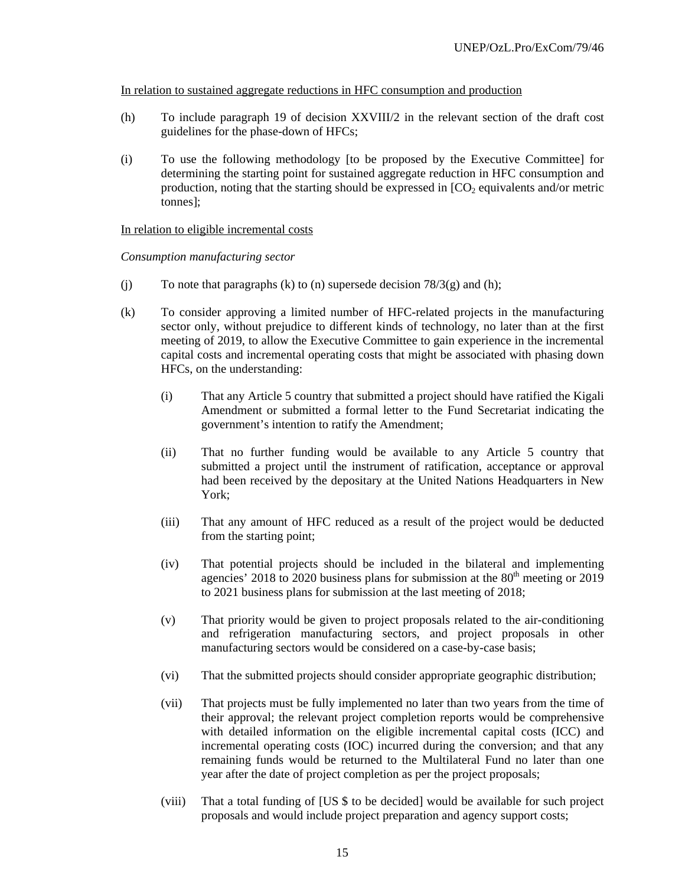In relation to sustained aggregate reductions in HFC consumption and production

- (h) To include paragraph 19 of decision XXVIII/2 in the relevant section of the draft cost guidelines for the phase-down of HFCs;
- (i) To use the following methodology [to be proposed by the Executive Committee] for determining the starting point for sustained aggregate reduction in HFC consumption and production, noting that the starting should be expressed in  $[CO<sub>2</sub>$  equivalents and/or metric tonnes];

#### In relation to eligible incremental costs

*Consumption manufacturing sector* 

- (i) To note that paragraphs (k) to (n) supersede decision  $78/3(g)$  and (h);
- (k) To consider approving a limited number of HFC-related projects in the manufacturing sector only, without prejudice to different kinds of technology, no later than at the first meeting of 2019, to allow the Executive Committee to gain experience in the incremental capital costs and incremental operating costs that might be associated with phasing down HFCs, on the understanding:
	- (i) That any Article 5 country that submitted a project should have ratified the Kigali Amendment or submitted a formal letter to the Fund Secretariat indicating the government's intention to ratify the Amendment;
	- (ii) That no further funding would be available to any Article 5 country that submitted a project until the instrument of ratification, acceptance or approval had been received by the depositary at the United Nations Headquarters in New York;
	- (iii) That any amount of HFC reduced as a result of the project would be deducted from the starting point;
	- (iv) That potential projects should be included in the bilateral and implementing agencies' 2018 to 2020 business plans for submission at the  $80<sup>th</sup>$  meeting or 2019 to 2021 business plans for submission at the last meeting of 2018;
	- (v) That priority would be given to project proposals related to the air-conditioning and refrigeration manufacturing sectors, and project proposals in other manufacturing sectors would be considered on a case-by-case basis;
	- (vi) That the submitted projects should consider appropriate geographic distribution;
	- (vii) That projects must be fully implemented no later than two years from the time of their approval; the relevant project completion reports would be comprehensive with detailed information on the eligible incremental capital costs (ICC) and incremental operating costs (IOC) incurred during the conversion; and that any remaining funds would be returned to the Multilateral Fund no later than one year after the date of project completion as per the project proposals;
	- (viii) That a total funding of [US \$ to be decided] would be available for such project proposals and would include project preparation and agency support costs;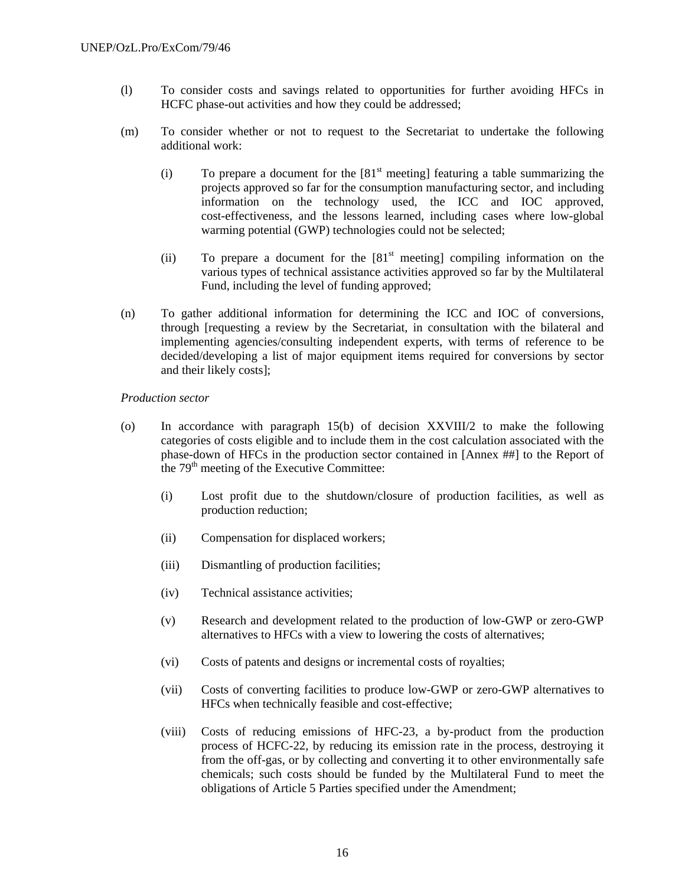- (l) To consider costs and savings related to opportunities for further avoiding HFCs in HCFC phase-out activities and how they could be addressed;
- (m) To consider whether or not to request to the Secretariat to undertake the following additional work:
	- (i) To prepare a document for the  $[81<sup>st</sup>$  meeting] featuring a table summarizing the projects approved so far for the consumption manufacturing sector, and including information on the technology used, the ICC and IOC approved, cost-effectiveness, and the lessons learned, including cases where low-global warming potential (GWP) technologies could not be selected;
	- (ii) To prepare a document for the  $[81<sup>st</sup>$  meeting] compiling information on the various types of technical assistance activities approved so far by the Multilateral Fund, including the level of funding approved;
- (n) To gather additional information for determining the ICC and IOC of conversions, through [requesting a review by the Secretariat, in consultation with the bilateral and implementing agencies/consulting independent experts, with terms of reference to be decided/developing a list of major equipment items required for conversions by sector and their likely costs];

#### *Production sector*

- (o) In accordance with paragraph 15(b) of decision XXVIII/2 to make the following categories of costs eligible and to include them in the cost calculation associated with the phase-down of HFCs in the production sector contained in [Annex ##] to the Report of the 79<sup>th</sup> meeting of the Executive Committee:
	- (i) Lost profit due to the shutdown/closure of production facilities, as well as production reduction;
	- (ii) Compensation for displaced workers;
	- (iii) Dismantling of production facilities;
	- (iv) Technical assistance activities;
	- (v) Research and development related to the production of low-GWP or zero-GWP alternatives to HFCs with a view to lowering the costs of alternatives;
	- (vi) Costs of patents and designs or incremental costs of royalties;
	- (vii) Costs of converting facilities to produce low-GWP or zero-GWP alternatives to HFCs when technically feasible and cost-effective;
	- (viii) Costs of reducing emissions of HFC-23, a by-product from the production process of HCFC-22, by reducing its emission rate in the process, destroying it from the off-gas, or by collecting and converting it to other environmentally safe chemicals; such costs should be funded by the Multilateral Fund to meet the obligations of Article 5 Parties specified under the Amendment;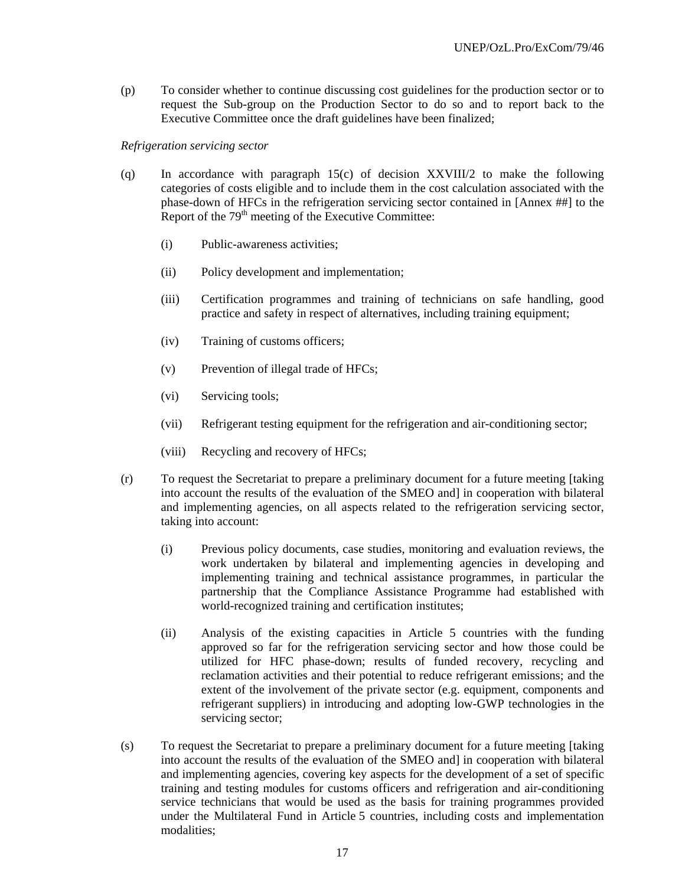(p) To consider whether to continue discussing cost guidelines for the production sector or to request the Sub-group on the Production Sector to do so and to report back to the Executive Committee once the draft guidelines have been finalized;

#### *Refrigeration servicing sector*

- (q) In accordance with paragraph 15(c) of decision XXVIII/2 to make the following categories of costs eligible and to include them in the cost calculation associated with the phase-down of HFCs in the refrigeration servicing sector contained in [Annex ##] to the Report of the  $79<sup>th</sup>$  meeting of the Executive Committee:
	- (i) Public-awareness activities;
	- (ii) Policy development and implementation;
	- (iii) Certification programmes and training of technicians on safe handling, good practice and safety in respect of alternatives, including training equipment;
	- (iv) Training of customs officers;
	- (v) Prevention of illegal trade of HFCs;
	- (vi) Servicing tools;
	- (vii) Refrigerant testing equipment for the refrigeration and air-conditioning sector;
	- (viii) Recycling and recovery of HFCs;
- (r) To request the Secretariat to prepare a preliminary document for a future meeting [taking into account the results of the evaluation of the SMEO and] in cooperation with bilateral and implementing agencies, on all aspects related to the refrigeration servicing sector, taking into account:
	- (i) Previous policy documents, case studies, monitoring and evaluation reviews, the work undertaken by bilateral and implementing agencies in developing and implementing training and technical assistance programmes, in particular the partnership that the Compliance Assistance Programme had established with world-recognized training and certification institutes;
	- (ii) Analysis of the existing capacities in Article 5 countries with the funding approved so far for the refrigeration servicing sector and how those could be utilized for HFC phase-down; results of funded recovery, recycling and reclamation activities and their potential to reduce refrigerant emissions; and the extent of the involvement of the private sector (e.g. equipment, components and refrigerant suppliers) in introducing and adopting low-GWP technologies in the servicing sector;
- (s) To request the Secretariat to prepare a preliminary document for a future meeting [taking into account the results of the evaluation of the SMEO and] in cooperation with bilateral and implementing agencies, covering key aspects for the development of a set of specific training and testing modules for customs officers and refrigeration and air-conditioning service technicians that would be used as the basis for training programmes provided under the Multilateral Fund in Article 5 countries, including costs and implementation modalities;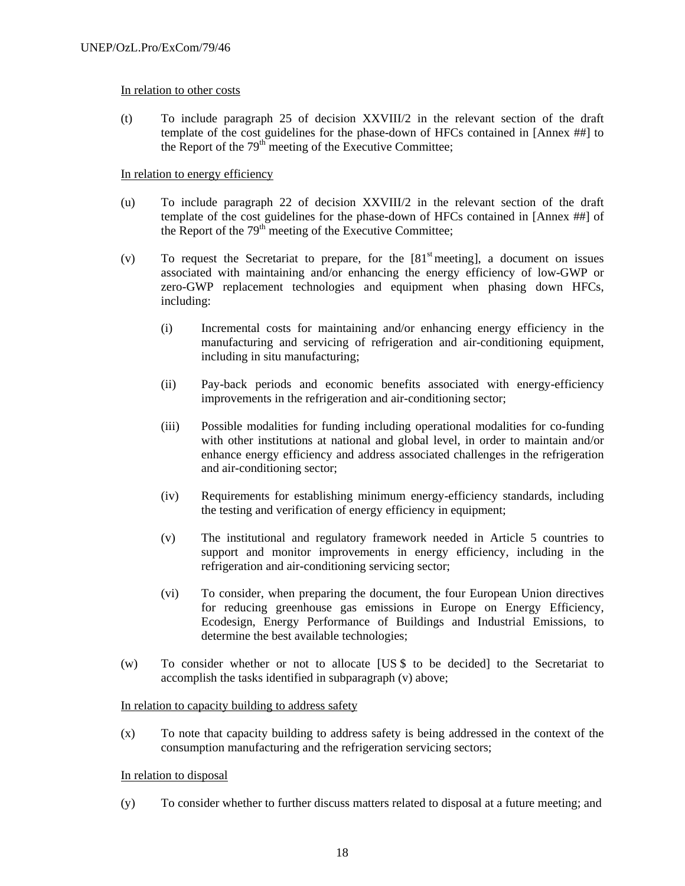## In relation to other costs

(t) To include paragraph 25 of decision XXVIII/2 in the relevant section of the draft template of the cost guidelines for the phase-down of HFCs contained in [Annex ##] to the Report of the  $79<sup>th</sup>$  meeting of the Executive Committee;

## In relation to energy efficiency

- (u) To include paragraph 22 of decision XXVIII/2 in the relevant section of the draft template of the cost guidelines for the phase-down of HFCs contained in [Annex ##] of the Report of the  $79<sup>th</sup>$  meeting of the Executive Committee;
- (v) To request the Secretariat to prepare, for the  $[81<sup>st</sup>$  meeting], a document on issues associated with maintaining and/or enhancing the energy efficiency of low-GWP or zero-GWP replacement technologies and equipment when phasing down HFCs, including:
	- (i) Incremental costs for maintaining and/or enhancing energy efficiency in the manufacturing and servicing of refrigeration and air-conditioning equipment, including in situ manufacturing;
	- (ii) Pay-back periods and economic benefits associated with energy-efficiency improvements in the refrigeration and air-conditioning sector;
	- (iii) Possible modalities for funding including operational modalities for co-funding with other institutions at national and global level, in order to maintain and/or enhance energy efficiency and address associated challenges in the refrigeration and air-conditioning sector;
	- (iv) Requirements for establishing minimum energy-efficiency standards, including the testing and verification of energy efficiency in equipment;
	- (v) The institutional and regulatory framework needed in Article 5 countries to support and monitor improvements in energy efficiency, including in the refrigeration and air-conditioning servicing sector;
	- (vi) To consider, when preparing the document, the four European Union directives for reducing greenhouse gas emissions in Europe on Energy Efficiency, Ecodesign, Energy Performance of Buildings and Industrial Emissions, to determine the best available technologies;
- (w) To consider whether or not to allocate [US \$ to be decided] to the Secretariat to accomplish the tasks identified in subparagraph (v) above;

#### In relation to capacity building to address safety

(x) To note that capacity building to address safety is being addressed in the context of the consumption manufacturing and the refrigeration servicing sectors;

#### In relation to disposal

(y) To consider whether to further discuss matters related to disposal at a future meeting; and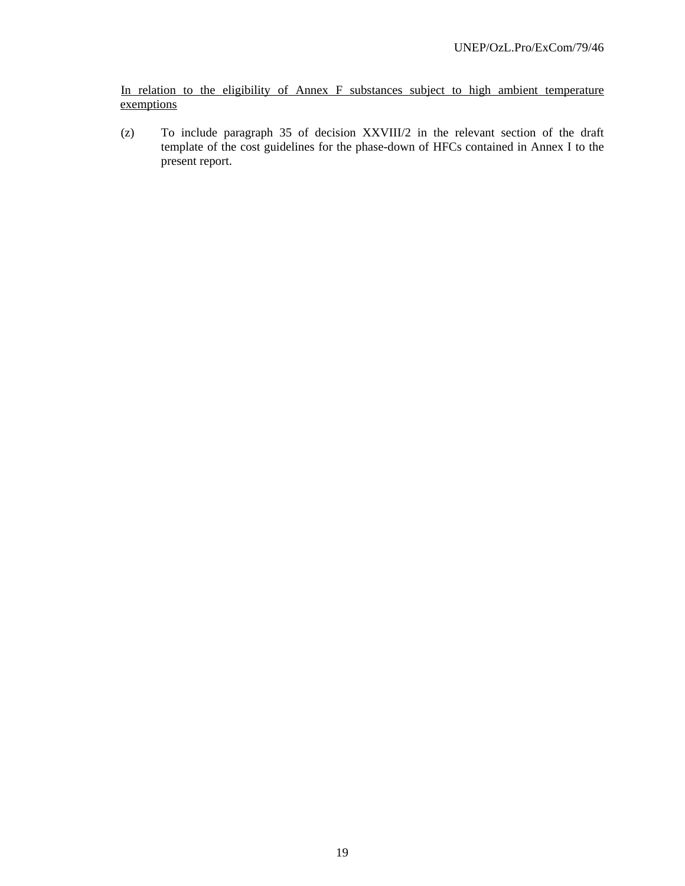In relation to the eligibility of Annex F substances subject to high ambient temperature exemptions

(z) To include paragraph 35 of decision XXVIII/2 in the relevant section of the draft template of the cost guidelines for the phase-down of HFCs contained in Annex I to the present report.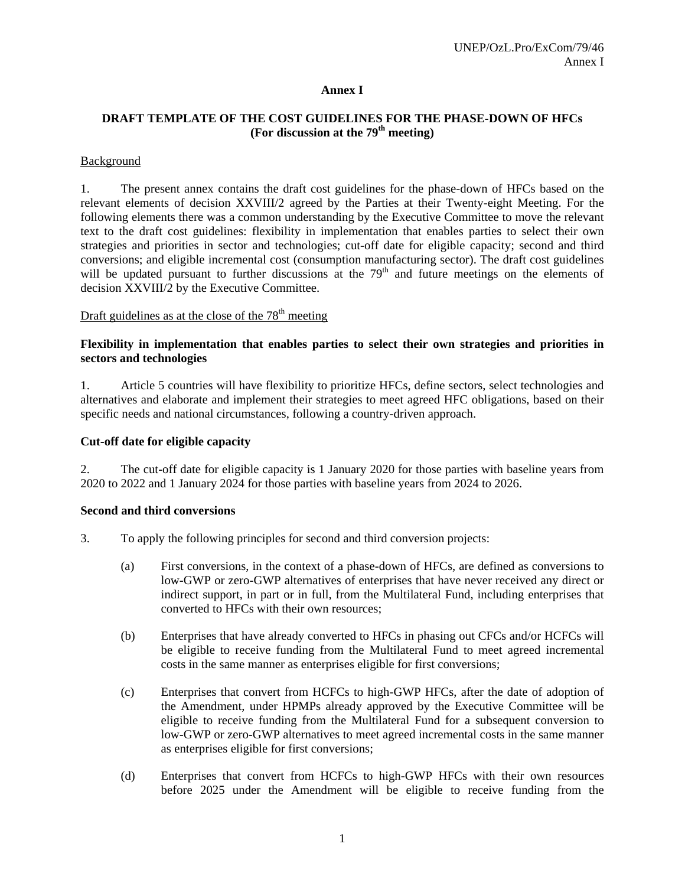## **Annex I**

# **DRAFT TEMPLATE OF THE COST GUIDELINES FOR THE PHASE-DOWN OF HFCs**  (For discussion at the 79<sup>th</sup> meeting)

## Background

1. The present annex contains the draft cost guidelines for the phase-down of HFCs based on the relevant elements of decision XXVIII/2 agreed by the Parties at their Twenty-eight Meeting. For the following elements there was a common understanding by the Executive Committee to move the relevant text to the draft cost guidelines: flexibility in implementation that enables parties to select their own strategies and priorities in sector and technologies; cut-off date for eligible capacity; second and third conversions; and eligible incremental cost (consumption manufacturing sector). The draft cost guidelines will be updated pursuant to further discussions at the  $79<sup>th</sup>$  and future meetings on the elements of decision XXVIII/2 by the Executive Committee.

# Draft guidelines as at the close of the  $78<sup>th</sup>$  meeting

#### **Flexibility in implementation that enables parties to select their own strategies and priorities in sectors and technologies**

1. Article 5 countries will have flexibility to prioritize HFCs, define sectors, select technologies and alternatives and elaborate and implement their strategies to meet agreed HFC obligations, based on their specific needs and national circumstances, following a country-driven approach.

#### **Cut-off date for eligible capacity**

2. The cut-off date for eligible capacity is 1 January 2020 for those parties with baseline years from 2020 to 2022 and 1 January 2024 for those parties with baseline years from 2024 to 2026.

#### **Second and third conversions**

- 3. To apply the following principles for second and third conversion projects:
	- (a) First conversions, in the context of a phase-down of HFCs, are defined as conversions to low-GWP or zero-GWP alternatives of enterprises that have never received any direct or indirect support, in part or in full, from the Multilateral Fund, including enterprises that converted to HFCs with their own resources;
	- (b) Enterprises that have already converted to HFCs in phasing out CFCs and/or HCFCs will be eligible to receive funding from the Multilateral Fund to meet agreed incremental costs in the same manner as enterprises eligible for first conversions;
	- (c) Enterprises that convert from HCFCs to high-GWP HFCs, after the date of adoption of the Amendment, under HPMPs already approved by the Executive Committee will be eligible to receive funding from the Multilateral Fund for a subsequent conversion to low-GWP or zero-GWP alternatives to meet agreed incremental costs in the same manner as enterprises eligible for first conversions;
	- (d) Enterprises that convert from HCFCs to high-GWP HFCs with their own resources before 2025 under the Amendment will be eligible to receive funding from the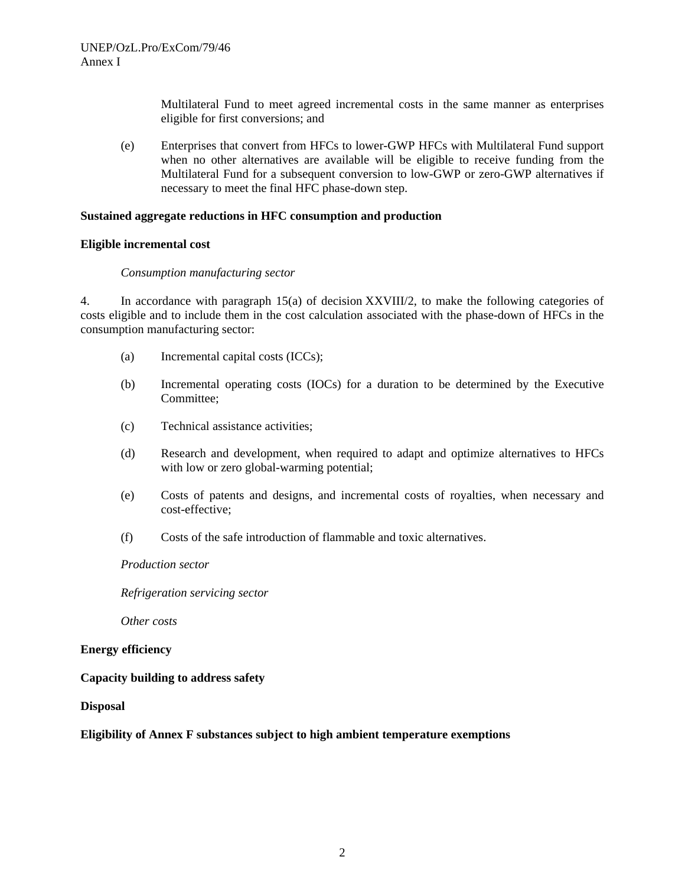Multilateral Fund to meet agreed incremental costs in the same manner as enterprises eligible for first conversions; and

(e) Enterprises that convert from HFCs to lower-GWP HFCs with Multilateral Fund support when no other alternatives are available will be eligible to receive funding from the Multilateral Fund for a subsequent conversion to low-GWP or zero-GWP alternatives if necessary to meet the final HFC phase-down step.

#### **Sustained aggregate reductions in HFC consumption and production**

#### **Eligible incremental cost**

#### *Consumption manufacturing sector*

4. In accordance with paragraph 15(a) of decision XXVIII/2, to make the following categories of costs eligible and to include them in the cost calculation associated with the phase-down of HFCs in the consumption manufacturing sector:

- (a) Incremental capital costs (ICCs);
- (b) Incremental operating costs (IOCs) for a duration to be determined by the Executive Committee;
- (c) Technical assistance activities;
- (d) Research and development, when required to adapt and optimize alternatives to HFCs with low or zero global-warming potential;
- (e) Costs of patents and designs, and incremental costs of royalties, when necessary and cost-effective;
- (f) Costs of the safe introduction of flammable and toxic alternatives.

#### *Production sector*

*Refrigeration servicing sector* 

*Other costs* 

#### **Energy efficiency**

#### **Capacity building to address safety**

#### **Disposal**

#### **Eligibility of Annex F substances subject to high ambient temperature exemptions**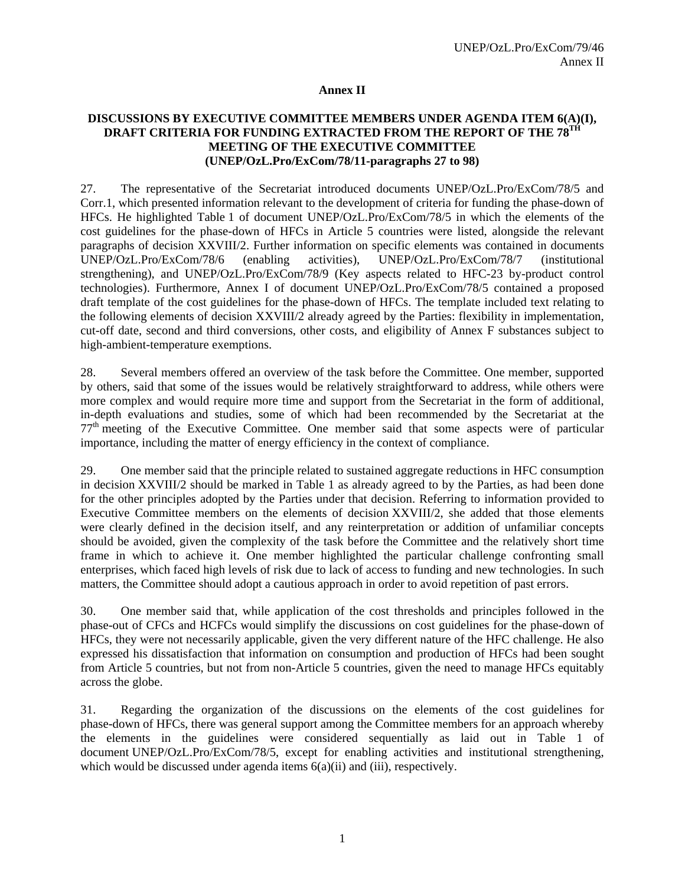#### **Annex II**

#### **DISCUSSIONS BY EXECUTIVE COMMITTEE MEMBERS UNDER AGENDA ITEM 6(A)(I), DRAFT CRITERIA FOR FUNDING EXTRACTED FROM THE REPORT OF THE 78TH MEETING OF THE EXECUTIVE COMMITTEE (UNEP/OzL.Pro/ExCom/78/11-paragraphs 27 to 98)**

27. The representative of the Secretariat introduced documents UNEP/OzL.Pro/ExCom/78/5 and Corr.1, which presented information relevant to the development of criteria for funding the phase-down of HFCs. He highlighted Table 1 of document UNEP/OzL.Pro/ExCom/78/5 in which the elements of the cost guidelines for the phase-down of HFCs in Article 5 countries were listed, alongside the relevant paragraphs of decision XXVIII/2. Further information on specific elements was contained in documents UNEP/OzL.Pro/ExCom/78/6 (enabling activities), UNEP/OzL.Pro/ExCom/78/7 (institutional strengthening), and UNEP/OzL.Pro/ExCom/78/9 (Key aspects related to HFC-23 by-product control technologies). Furthermore, Annex I of document UNEP/OzL.Pro/ExCom/78/5 contained a proposed draft template of the cost guidelines for the phase-down of HFCs. The template included text relating to the following elements of decision XXVIII/2 already agreed by the Parties: flexibility in implementation, cut-off date, second and third conversions, other costs, and eligibility of Annex F substances subject to high-ambient-temperature exemptions.

28. Several members offered an overview of the task before the Committee. One member, supported by others, said that some of the issues would be relatively straightforward to address, while others were more complex and would require more time and support from the Secretariat in the form of additional, in-depth evaluations and studies, some of which had been recommended by the Secretariat at the  $77<sup>th</sup>$  meeting of the Executive Committee. One member said that some aspects were of particular importance, including the matter of energy efficiency in the context of compliance.

29. One member said that the principle related to sustained aggregate reductions in HFC consumption in decision XXVIII/2 should be marked in Table 1 as already agreed to by the Parties, as had been done for the other principles adopted by the Parties under that decision. Referring to information provided to Executive Committee members on the elements of decision XXVIII/2, she added that those elements were clearly defined in the decision itself, and any reinterpretation or addition of unfamiliar concepts should be avoided, given the complexity of the task before the Committee and the relatively short time frame in which to achieve it. One member highlighted the particular challenge confronting small enterprises, which faced high levels of risk due to lack of access to funding and new technologies. In such matters, the Committee should adopt a cautious approach in order to avoid repetition of past errors.

30. One member said that, while application of the cost thresholds and principles followed in the phase-out of CFCs and HCFCs would simplify the discussions on cost guidelines for the phase-down of HFCs, they were not necessarily applicable, given the very different nature of the HFC challenge. He also expressed his dissatisfaction that information on consumption and production of HFCs had been sought from Article 5 countries, but not from non-Article 5 countries, given the need to manage HFCs equitably across the globe.

31. Regarding the organization of the discussions on the elements of the cost guidelines for phase-down of HFCs, there was general support among the Committee members for an approach whereby the elements in the guidelines were considered sequentially as laid out in Table 1 of document UNEP/OzL.Pro/ExCom/78/5, except for enabling activities and institutional strengthening, which would be discussed under agenda items  $6(a)(ii)$  and  $(iii)$ , respectively.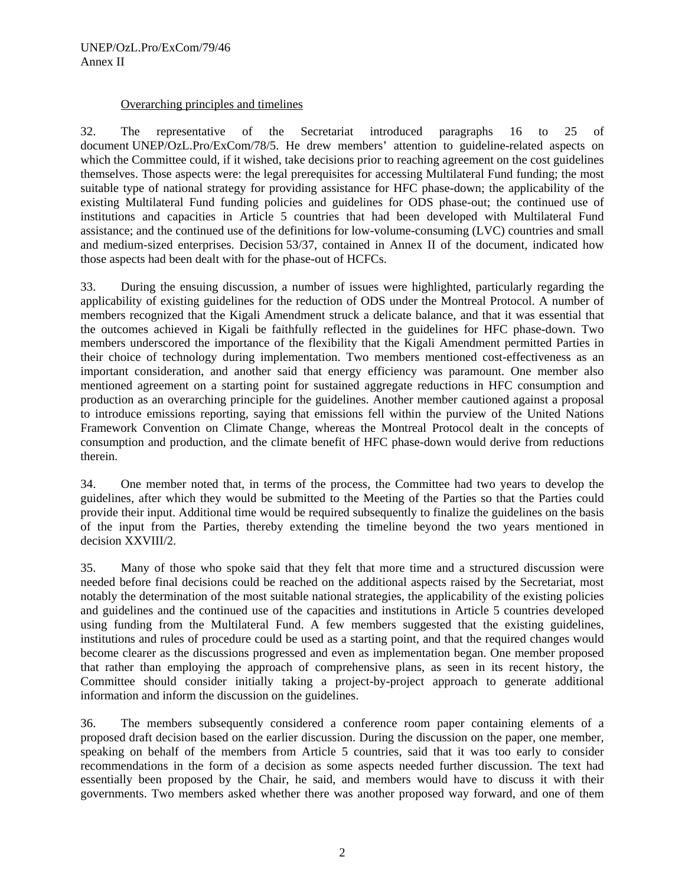## Overarching principles and timelines

32. The representative of the Secretariat introduced paragraphs 16 to 25 of document UNEP/OzL.Pro/ExCom/78/5. He drew members' attention to guideline-related aspects on which the Committee could, if it wished, take decisions prior to reaching agreement on the cost guidelines themselves. Those aspects were: the legal prerequisites for accessing Multilateral Fund funding; the most suitable type of national strategy for providing assistance for HFC phase-down; the applicability of the existing Multilateral Fund funding policies and guidelines for ODS phase-out; the continued use of institutions and capacities in Article 5 countries that had been developed with Multilateral Fund assistance; and the continued use of the definitions for low-volume-consuming (LVC) countries and small and medium-sized enterprises. Decision 53/37, contained in Annex II of the document, indicated how those aspects had been dealt with for the phase-out of HCFCs.

33. During the ensuing discussion, a number of issues were highlighted, particularly regarding the applicability of existing guidelines for the reduction of ODS under the Montreal Protocol. A number of members recognized that the Kigali Amendment struck a delicate balance, and that it was essential that the outcomes achieved in Kigali be faithfully reflected in the guidelines for HFC phase-down. Two members underscored the importance of the flexibility that the Kigali Amendment permitted Parties in their choice of technology during implementation. Two members mentioned cost-effectiveness as an important consideration, and another said that energy efficiency was paramount. One member also mentioned agreement on a starting point for sustained aggregate reductions in HFC consumption and production as an overarching principle for the guidelines. Another member cautioned against a proposal to introduce emissions reporting, saying that emissions fell within the purview of the United Nations Framework Convention on Climate Change, whereas the Montreal Protocol dealt in the concepts of consumption and production, and the climate benefit of HFC phase-down would derive from reductions therein.

34. One member noted that, in terms of the process, the Committee had two years to develop the guidelines, after which they would be submitted to the Meeting of the Parties so that the Parties could provide their input. Additional time would be required subsequently to finalize the guidelines on the basis of the input from the Parties, thereby extending the timeline beyond the two years mentioned in decision XXVIII/2.

35. Many of those who spoke said that they felt that more time and a structured discussion were needed before final decisions could be reached on the additional aspects raised by the Secretariat, most notably the determination of the most suitable national strategies, the applicability of the existing policies and guidelines and the continued use of the capacities and institutions in Article 5 countries developed using funding from the Multilateral Fund. A few members suggested that the existing guidelines, institutions and rules of procedure could be used as a starting point, and that the required changes would become clearer as the discussions progressed and even as implementation began. One member proposed that rather than employing the approach of comprehensive plans, as seen in its recent history, the Committee should consider initially taking a project-by-project approach to generate additional information and inform the discussion on the guidelines.

36. The members subsequently considered a conference room paper containing elements of a proposed draft decision based on the earlier discussion. During the discussion on the paper, one member, speaking on behalf of the members from Article 5 countries, said that it was too early to consider recommendations in the form of a decision as some aspects needed further discussion. The text had essentially been proposed by the Chair, he said, and members would have to discuss it with their governments. Two members asked whether there was another proposed way forward, and one of them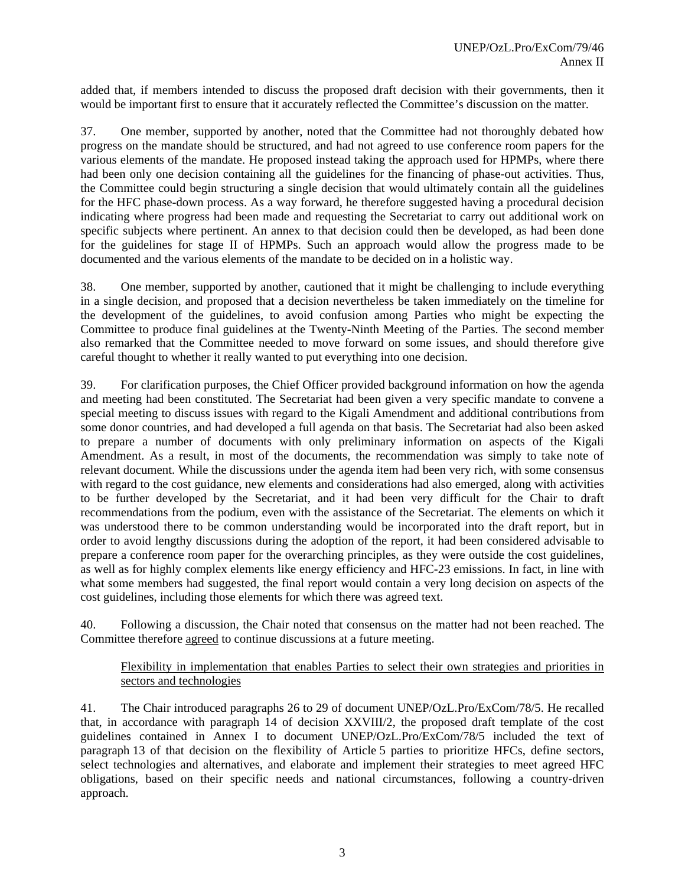added that, if members intended to discuss the proposed draft decision with their governments, then it would be important first to ensure that it accurately reflected the Committee's discussion on the matter.

37. One member, supported by another, noted that the Committee had not thoroughly debated how progress on the mandate should be structured, and had not agreed to use conference room papers for the various elements of the mandate. He proposed instead taking the approach used for HPMPs, where there had been only one decision containing all the guidelines for the financing of phase-out activities. Thus, the Committee could begin structuring a single decision that would ultimately contain all the guidelines for the HFC phase-down process. As a way forward, he therefore suggested having a procedural decision indicating where progress had been made and requesting the Secretariat to carry out additional work on specific subjects where pertinent. An annex to that decision could then be developed, as had been done for the guidelines for stage II of HPMPs. Such an approach would allow the progress made to be documented and the various elements of the mandate to be decided on in a holistic way.

38. One member, supported by another, cautioned that it might be challenging to include everything in a single decision, and proposed that a decision nevertheless be taken immediately on the timeline for the development of the guidelines, to avoid confusion among Parties who might be expecting the Committee to produce final guidelines at the Twenty-Ninth Meeting of the Parties. The second member also remarked that the Committee needed to move forward on some issues, and should therefore give careful thought to whether it really wanted to put everything into one decision.

39. For clarification purposes, the Chief Officer provided background information on how the agenda and meeting had been constituted. The Secretariat had been given a very specific mandate to convene a special meeting to discuss issues with regard to the Kigali Amendment and additional contributions from some donor countries, and had developed a full agenda on that basis. The Secretariat had also been asked to prepare a number of documents with only preliminary information on aspects of the Kigali Amendment. As a result, in most of the documents, the recommendation was simply to take note of relevant document. While the discussions under the agenda item had been very rich, with some consensus with regard to the cost guidance, new elements and considerations had also emerged, along with activities to be further developed by the Secretariat, and it had been very difficult for the Chair to draft recommendations from the podium, even with the assistance of the Secretariat. The elements on which it was understood there to be common understanding would be incorporated into the draft report, but in order to avoid lengthy discussions during the adoption of the report, it had been considered advisable to prepare a conference room paper for the overarching principles, as they were outside the cost guidelines, as well as for highly complex elements like energy efficiency and HFC-23 emissions. In fact, in line with what some members had suggested, the final report would contain a very long decision on aspects of the cost guidelines, including those elements for which there was agreed text.

40. Following a discussion, the Chair noted that consensus on the matter had not been reached. The Committee therefore agreed to continue discussions at a future meeting.

# Flexibility in implementation that enables Parties to select their own strategies and priorities in sectors and technologies

41. The Chair introduced paragraphs 26 to 29 of document UNEP/OzL.Pro/ExCom/78/5. He recalled that, in accordance with paragraph 14 of decision XXVIII/2, the proposed draft template of the cost guidelines contained in Annex I to document UNEP/OzL.Pro/ExCom/78/5 included the text of paragraph 13 of that decision on the flexibility of Article 5 parties to prioritize HFCs, define sectors, select technologies and alternatives, and elaborate and implement their strategies to meet agreed HFC obligations, based on their specific needs and national circumstances, following a country-driven approach.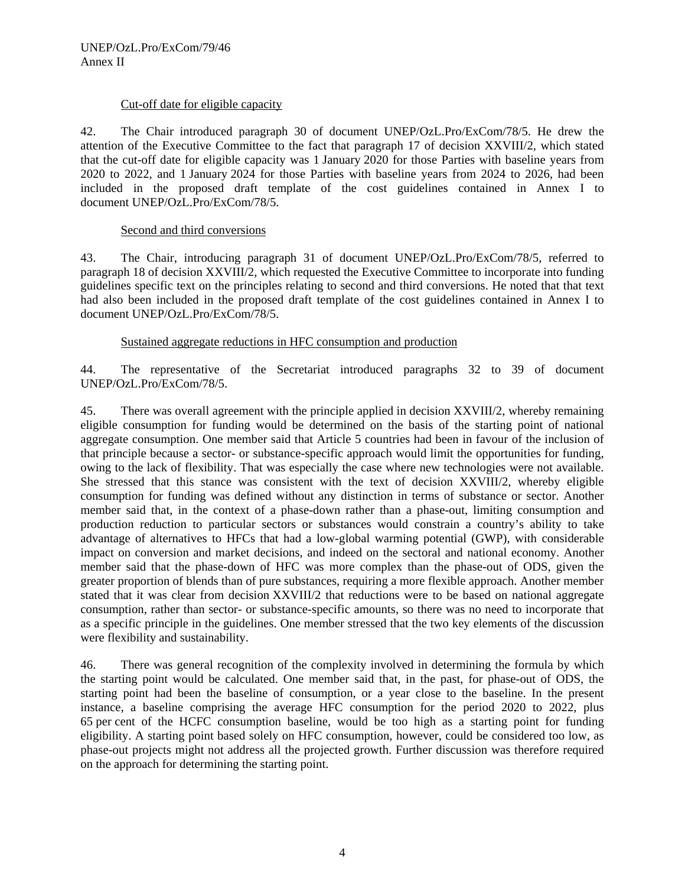# Cut-off date for eligible capacity

42. The Chair introduced paragraph 30 of document UNEP/OzL.Pro/ExCom/78/5. He drew the attention of the Executive Committee to the fact that paragraph 17 of decision XXVIII/2, which stated that the cut-off date for eligible capacity was 1 January 2020 for those Parties with baseline years from 2020 to 2022, and 1 January 2024 for those Parties with baseline years from 2024 to 2026, had been included in the proposed draft template of the cost guidelines contained in Annex I to document UNEP/OzL.Pro/ExCom/78/5.

#### Second and third conversions

43. The Chair, introducing paragraph 31 of document UNEP/OzL.Pro/ExCom/78/5, referred to paragraph 18 of decision XXVIII/2, which requested the Executive Committee to incorporate into funding guidelines specific text on the principles relating to second and third conversions. He noted that that text had also been included in the proposed draft template of the cost guidelines contained in Annex I to document UNEP/OzL.Pro/ExCom/78/5.

#### Sustained aggregate reductions in HFC consumption and production

44. The representative of the Secretariat introduced paragraphs 32 to 39 of document UNEP/OzL.Pro/ExCom/78/5.

45. There was overall agreement with the principle applied in decision XXVIII/2, whereby remaining eligible consumption for funding would be determined on the basis of the starting point of national aggregate consumption. One member said that Article 5 countries had been in favour of the inclusion of that principle because a sector- or substance-specific approach would limit the opportunities for funding, owing to the lack of flexibility. That was especially the case where new technologies were not available. She stressed that this stance was consistent with the text of decision XXVIII/2, whereby eligible consumption for funding was defined without any distinction in terms of substance or sector. Another member said that, in the context of a phase-down rather than a phase-out, limiting consumption and production reduction to particular sectors or substances would constrain a country's ability to take advantage of alternatives to HFCs that had a low-global warming potential (GWP), with considerable impact on conversion and market decisions, and indeed on the sectoral and national economy. Another member said that the phase-down of HFC was more complex than the phase-out of ODS, given the greater proportion of blends than of pure substances, requiring a more flexible approach. Another member stated that it was clear from decision XXVIII/2 that reductions were to be based on national aggregate consumption, rather than sector- or substance-specific amounts, so there was no need to incorporate that as a specific principle in the guidelines. One member stressed that the two key elements of the discussion were flexibility and sustainability.

46. There was general recognition of the complexity involved in determining the formula by which the starting point would be calculated. One member said that, in the past, for phase-out of ODS, the starting point had been the baseline of consumption, or a year close to the baseline. In the present instance, a baseline comprising the average HFC consumption for the period 2020 to 2022, plus 65 per cent of the HCFC consumption baseline, would be too high as a starting point for funding eligibility. A starting point based solely on HFC consumption, however, could be considered too low, as phase-out projects might not address all the projected growth. Further discussion was therefore required on the approach for determining the starting point.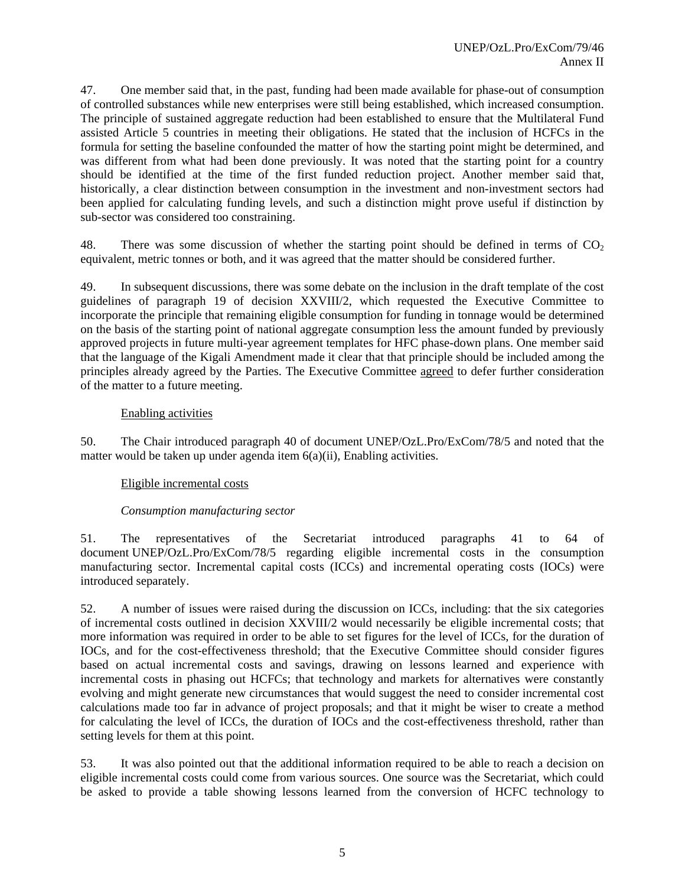47. One member said that, in the past, funding had been made available for phase-out of consumption of controlled substances while new enterprises were still being established, which increased consumption. The principle of sustained aggregate reduction had been established to ensure that the Multilateral Fund assisted Article 5 countries in meeting their obligations. He stated that the inclusion of HCFCs in the formula for setting the baseline confounded the matter of how the starting point might be determined, and was different from what had been done previously. It was noted that the starting point for a country should be identified at the time of the first funded reduction project. Another member said that, historically, a clear distinction between consumption in the investment and non-investment sectors had been applied for calculating funding levels, and such a distinction might prove useful if distinction by sub-sector was considered too constraining.

48. There was some discussion of whether the starting point should be defined in terms of  $CO<sub>2</sub>$ equivalent, metric tonnes or both, and it was agreed that the matter should be considered further.

49. In subsequent discussions, there was some debate on the inclusion in the draft template of the cost guidelines of paragraph 19 of decision XXVIII/2, which requested the Executive Committee to incorporate the principle that remaining eligible consumption for funding in tonnage would be determined on the basis of the starting point of national aggregate consumption less the amount funded by previously approved projects in future multi-year agreement templates for HFC phase-down plans. One member said that the language of the Kigali Amendment made it clear that that principle should be included among the principles already agreed by the Parties. The Executive Committee agreed to defer further consideration of the matter to a future meeting.

# Enabling activities

50. The Chair introduced paragraph 40 of document UNEP/OzL.Pro/ExCom/78/5 and noted that the matter would be taken up under agenda item  $6(a)(ii)$ , Enabling activities.

#### Eligible incremental costs

# *Consumption manufacturing sector*

51. The representatives of the Secretariat introduced paragraphs 41 to 64 of document UNEP/OzL.Pro/ExCom/78/5 regarding eligible incremental costs in the consumption manufacturing sector. Incremental capital costs (ICCs) and incremental operating costs (IOCs) were introduced separately.

52. A number of issues were raised during the discussion on ICCs, including: that the six categories of incremental costs outlined in decision XXVIII/2 would necessarily be eligible incremental costs; that more information was required in order to be able to set figures for the level of ICCs, for the duration of IOCs, and for the cost-effectiveness threshold; that the Executive Committee should consider figures based on actual incremental costs and savings, drawing on lessons learned and experience with incremental costs in phasing out HCFCs; that technology and markets for alternatives were constantly evolving and might generate new circumstances that would suggest the need to consider incremental cost calculations made too far in advance of project proposals; and that it might be wiser to create a method for calculating the level of ICCs, the duration of IOCs and the cost-effectiveness threshold, rather than setting levels for them at this point.

53. It was also pointed out that the additional information required to be able to reach a decision on eligible incremental costs could come from various sources. One source was the Secretariat, which could be asked to provide a table showing lessons learned from the conversion of HCFC technology to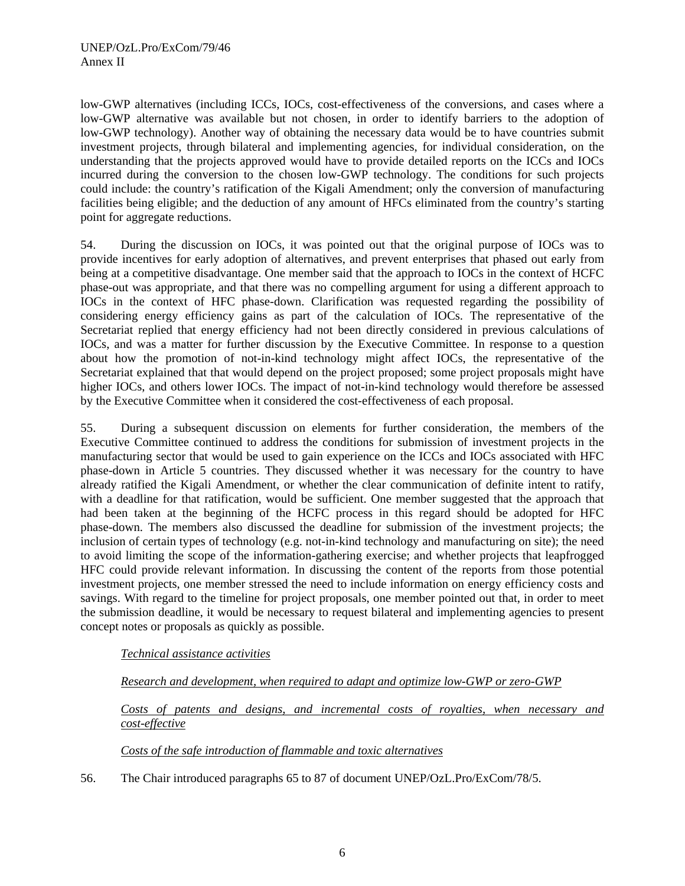low-GWP alternatives (including ICCs, IOCs, cost-effectiveness of the conversions, and cases where a low-GWP alternative was available but not chosen, in order to identify barriers to the adoption of low-GWP technology). Another way of obtaining the necessary data would be to have countries submit investment projects, through bilateral and implementing agencies, for individual consideration, on the understanding that the projects approved would have to provide detailed reports on the ICCs and IOCs incurred during the conversion to the chosen low-GWP technology. The conditions for such projects could include: the country's ratification of the Kigali Amendment; only the conversion of manufacturing facilities being eligible; and the deduction of any amount of HFCs eliminated from the country's starting point for aggregate reductions.

54. During the discussion on IOCs, it was pointed out that the original purpose of IOCs was to provide incentives for early adoption of alternatives, and prevent enterprises that phased out early from being at a competitive disadvantage. One member said that the approach to IOCs in the context of HCFC phase-out was appropriate, and that there was no compelling argument for using a different approach to IOCs in the context of HFC phase-down. Clarification was requested regarding the possibility of considering energy efficiency gains as part of the calculation of IOCs. The representative of the Secretariat replied that energy efficiency had not been directly considered in previous calculations of IOCs, and was a matter for further discussion by the Executive Committee. In response to a question about how the promotion of not-in-kind technology might affect IOCs, the representative of the Secretariat explained that that would depend on the project proposed; some project proposals might have higher IOCs, and others lower IOCs. The impact of not-in-kind technology would therefore be assessed by the Executive Committee when it considered the cost-effectiveness of each proposal.

55. During a subsequent discussion on elements for further consideration, the members of the Executive Committee continued to address the conditions for submission of investment projects in the manufacturing sector that would be used to gain experience on the ICCs and IOCs associated with HFC phase-down in Article 5 countries. They discussed whether it was necessary for the country to have already ratified the Kigali Amendment, or whether the clear communication of definite intent to ratify, with a deadline for that ratification, would be sufficient. One member suggested that the approach that had been taken at the beginning of the HCFC process in this regard should be adopted for HFC phase-down. The members also discussed the deadline for submission of the investment projects; the inclusion of certain types of technology (e.g. not-in-kind technology and manufacturing on site); the need to avoid limiting the scope of the information-gathering exercise; and whether projects that leapfrogged HFC could provide relevant information. In discussing the content of the reports from those potential investment projects, one member stressed the need to include information on energy efficiency costs and savings. With regard to the timeline for project proposals, one member pointed out that, in order to meet the submission deadline, it would be necessary to request bilateral and implementing agencies to present concept notes or proposals as quickly as possible.

#### *Technical assistance activities*

# *Research and development, when required to adapt and optimize low-GWP or zero-GWP*

*Costs of patents and designs, and incremental costs of royalties, when necessary and cost-effective* 

#### *Costs of the safe introduction of flammable and toxic alternatives*

56. The Chair introduced paragraphs 65 to 87 of document UNEP/OzL.Pro/ExCom/78/5.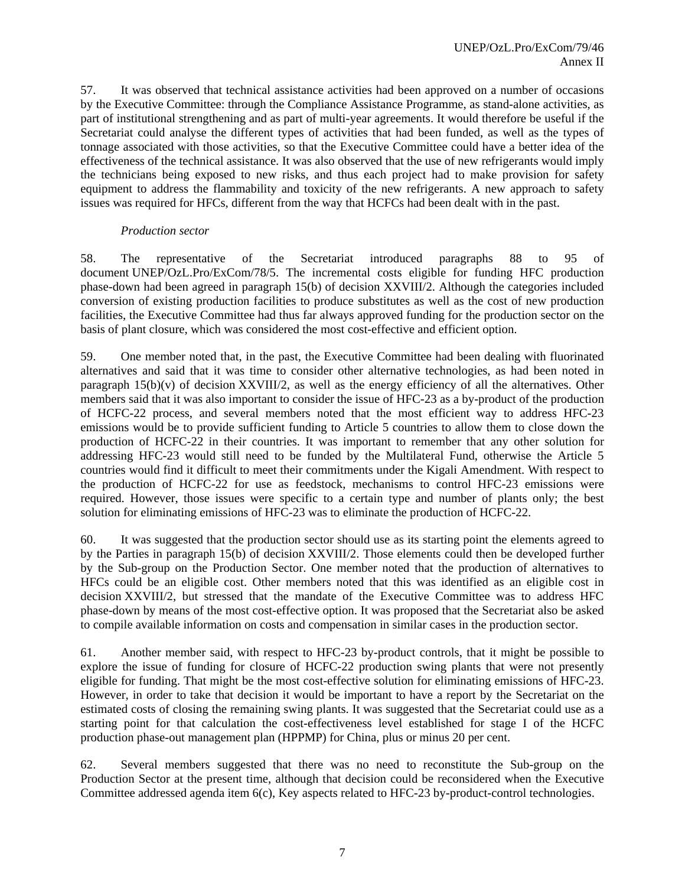57. It was observed that technical assistance activities had been approved on a number of occasions by the Executive Committee: through the Compliance Assistance Programme, as stand-alone activities, as part of institutional strengthening and as part of multi-year agreements. It would therefore be useful if the Secretariat could analyse the different types of activities that had been funded, as well as the types of tonnage associated with those activities, so that the Executive Committee could have a better idea of the effectiveness of the technical assistance. It was also observed that the use of new refrigerants would imply the technicians being exposed to new risks, and thus each project had to make provision for safety equipment to address the flammability and toxicity of the new refrigerants. A new approach to safety issues was required for HFCs, different from the way that HCFCs had been dealt with in the past.

#### *Production sector*

58. The representative of the Secretariat introduced paragraphs 88 to 95 of document UNEP/OzL.Pro/ExCom/78/5. The incremental costs eligible for funding HFC production phase-down had been agreed in paragraph 15(b) of decision XXVIII/2. Although the categories included conversion of existing production facilities to produce substitutes as well as the cost of new production facilities, the Executive Committee had thus far always approved funding for the production sector on the basis of plant closure, which was considered the most cost-effective and efficient option.

59. One member noted that, in the past, the Executive Committee had been dealing with fluorinated alternatives and said that it was time to consider other alternative technologies, as had been noted in paragraph  $15(b)(v)$  of decision XXVIII/2, as well as the energy efficiency of all the alternatives. Other members said that it was also important to consider the issue of HFC-23 as a by-product of the production of HCFC-22 process, and several members noted that the most efficient way to address HFC-23 emissions would be to provide sufficient funding to Article 5 countries to allow them to close down the production of HCFC-22 in their countries. It was important to remember that any other solution for addressing HFC-23 would still need to be funded by the Multilateral Fund, otherwise the Article 5 countries would find it difficult to meet their commitments under the Kigali Amendment. With respect to the production of HCFC-22 for use as feedstock, mechanisms to control HFC-23 emissions were required. However, those issues were specific to a certain type and number of plants only; the best solution for eliminating emissions of HFC-23 was to eliminate the production of HCFC-22.

60. It was suggested that the production sector should use as its starting point the elements agreed to by the Parties in paragraph 15(b) of decision XXVIII/2. Those elements could then be developed further by the Sub-group on the Production Sector. One member noted that the production of alternatives to HFCs could be an eligible cost. Other members noted that this was identified as an eligible cost in decision XXVIII/2, but stressed that the mandate of the Executive Committee was to address HFC phase-down by means of the most cost-effective option. It was proposed that the Secretariat also be asked to compile available information on costs and compensation in similar cases in the production sector.

61. Another member said, with respect to HFC-23 by-product controls, that it might be possible to explore the issue of funding for closure of HCFC-22 production swing plants that were not presently eligible for funding. That might be the most cost-effective solution for eliminating emissions of HFC-23. However, in order to take that decision it would be important to have a report by the Secretariat on the estimated costs of closing the remaining swing plants. It was suggested that the Secretariat could use as a starting point for that calculation the cost-effectiveness level established for stage I of the HCFC production phase-out management plan (HPPMP) for China, plus or minus 20 per cent.

62. Several members suggested that there was no need to reconstitute the Sub-group on the Production Sector at the present time, although that decision could be reconsidered when the Executive Committee addressed agenda item 6(c), Key aspects related to HFC-23 by-product-control technologies.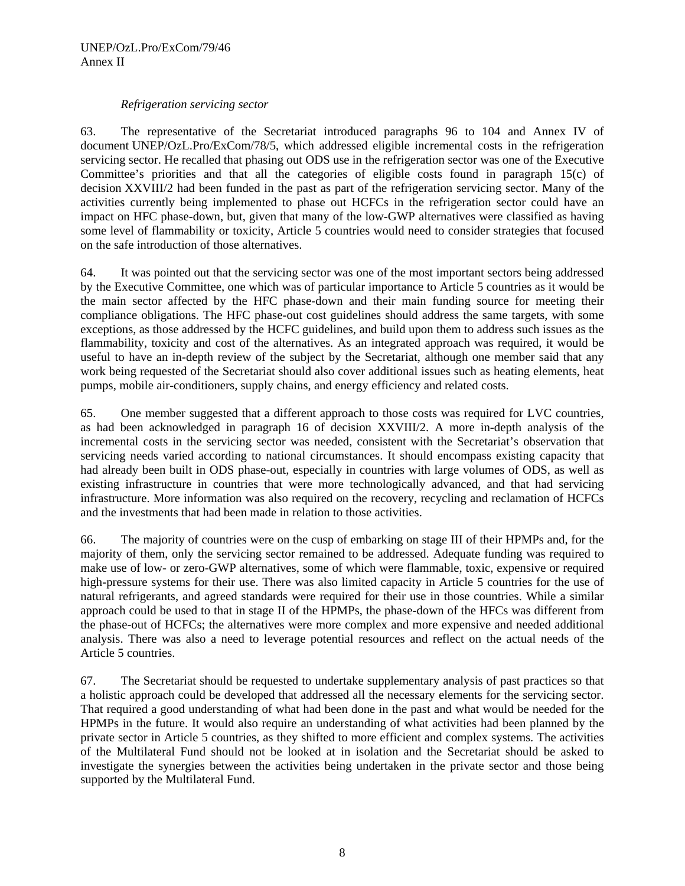#### *Refrigeration servicing sector*

63. The representative of the Secretariat introduced paragraphs 96 to 104 and Annex IV of document UNEP/OzL.Pro/ExCom/78/5, which addressed eligible incremental costs in the refrigeration servicing sector. He recalled that phasing out ODS use in the refrigeration sector was one of the Executive Committee's priorities and that all the categories of eligible costs found in paragraph 15(c) of decision XXVIII/2 had been funded in the past as part of the refrigeration servicing sector. Many of the activities currently being implemented to phase out HCFCs in the refrigeration sector could have an impact on HFC phase-down, but, given that many of the low-GWP alternatives were classified as having some level of flammability or toxicity, Article 5 countries would need to consider strategies that focused on the safe introduction of those alternatives.

64. It was pointed out that the servicing sector was one of the most important sectors being addressed by the Executive Committee, one which was of particular importance to Article 5 countries as it would be the main sector affected by the HFC phase-down and their main funding source for meeting their compliance obligations. The HFC phase-out cost guidelines should address the same targets, with some exceptions, as those addressed by the HCFC guidelines, and build upon them to address such issues as the flammability, toxicity and cost of the alternatives. As an integrated approach was required, it would be useful to have an in-depth review of the subject by the Secretariat, although one member said that any work being requested of the Secretariat should also cover additional issues such as heating elements, heat pumps, mobile air-conditioners, supply chains, and energy efficiency and related costs.

65. One member suggested that a different approach to those costs was required for LVC countries, as had been acknowledged in paragraph 16 of decision XXVIII/2. A more in-depth analysis of the incremental costs in the servicing sector was needed, consistent with the Secretariat's observation that servicing needs varied according to national circumstances. It should encompass existing capacity that had already been built in ODS phase-out, especially in countries with large volumes of ODS, as well as existing infrastructure in countries that were more technologically advanced, and that had servicing infrastructure. More information was also required on the recovery, recycling and reclamation of HCFCs and the investments that had been made in relation to those activities.

66. The majority of countries were on the cusp of embarking on stage III of their HPMPs and, for the majority of them, only the servicing sector remained to be addressed. Adequate funding was required to make use of low- or zero-GWP alternatives, some of which were flammable, toxic, expensive or required high-pressure systems for their use. There was also limited capacity in Article 5 countries for the use of natural refrigerants, and agreed standards were required for their use in those countries. While a similar approach could be used to that in stage II of the HPMPs, the phase-down of the HFCs was different from the phase-out of HCFCs; the alternatives were more complex and more expensive and needed additional analysis. There was also a need to leverage potential resources and reflect on the actual needs of the Article 5 countries.

67. The Secretariat should be requested to undertake supplementary analysis of past practices so that a holistic approach could be developed that addressed all the necessary elements for the servicing sector. That required a good understanding of what had been done in the past and what would be needed for the HPMPs in the future. It would also require an understanding of what activities had been planned by the private sector in Article 5 countries, as they shifted to more efficient and complex systems. The activities of the Multilateral Fund should not be looked at in isolation and the Secretariat should be asked to investigate the synergies between the activities being undertaken in the private sector and those being supported by the Multilateral Fund.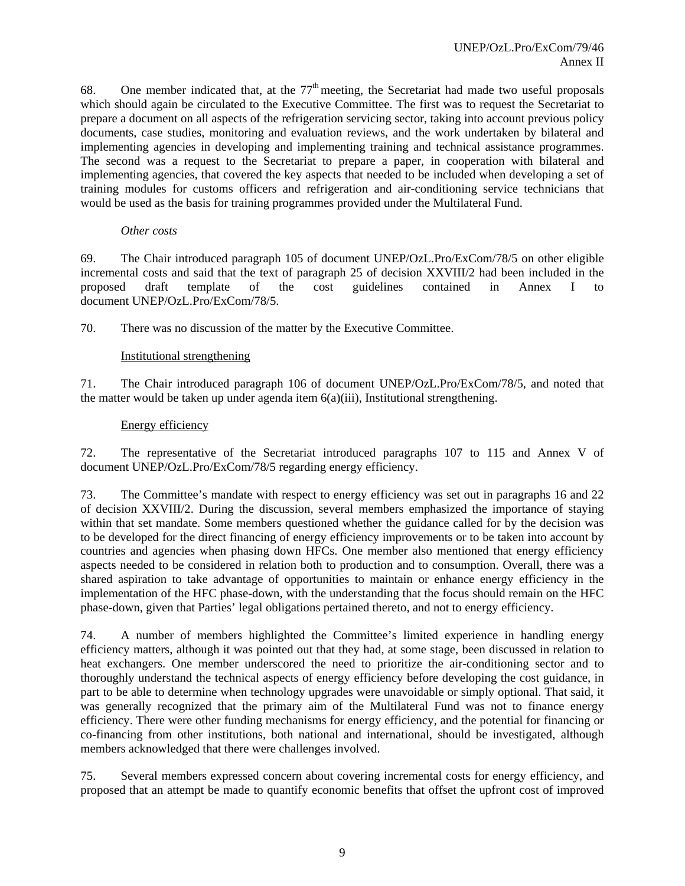68. One member indicated that, at the  $77<sup>th</sup>$  meeting, the Secretariat had made two useful proposals which should again be circulated to the Executive Committee. The first was to request the Secretariat to prepare a document on all aspects of the refrigeration servicing sector, taking into account previous policy documents, case studies, monitoring and evaluation reviews, and the work undertaken by bilateral and implementing agencies in developing and implementing training and technical assistance programmes. The second was a request to the Secretariat to prepare a paper, in cooperation with bilateral and implementing agencies, that covered the key aspects that needed to be included when developing a set of training modules for customs officers and refrigeration and air-conditioning service technicians that would be used as the basis for training programmes provided under the Multilateral Fund.

#### *Other costs*

69. The Chair introduced paragraph 105 of document UNEP/OzL.Pro/ExCom/78/5 on other eligible incremental costs and said that the text of paragraph 25 of decision XXVIII/2 had been included in the proposed draft template of the cost guidelines contained in Annex I to document UNEP/OzL.Pro/ExCom/78/5.

70. There was no discussion of the matter by the Executive Committee.

# Institutional strengthening

71. The Chair introduced paragraph 106 of document UNEP/OzL.Pro/ExCom/78/5, and noted that the matter would be taken up under agenda item 6(a)(iii), Institutional strengthening.

#### Energy efficiency

72. The representative of the Secretariat introduced paragraphs 107 to 115 and Annex V of document UNEP/OzL.Pro/ExCom/78/5 regarding energy efficiency.

73. The Committee's mandate with respect to energy efficiency was set out in paragraphs 16 and 22 of decision XXVIII/2. During the discussion, several members emphasized the importance of staying within that set mandate. Some members questioned whether the guidance called for by the decision was to be developed for the direct financing of energy efficiency improvements or to be taken into account by countries and agencies when phasing down HFCs. One member also mentioned that energy efficiency aspects needed to be considered in relation both to production and to consumption. Overall, there was a shared aspiration to take advantage of opportunities to maintain or enhance energy efficiency in the implementation of the HFC phase-down, with the understanding that the focus should remain on the HFC phase-down, given that Parties' legal obligations pertained thereto, and not to energy efficiency.

74. A number of members highlighted the Committee's limited experience in handling energy efficiency matters, although it was pointed out that they had, at some stage, been discussed in relation to heat exchangers. One member underscored the need to prioritize the air-conditioning sector and to thoroughly understand the technical aspects of energy efficiency before developing the cost guidance, in part to be able to determine when technology upgrades were unavoidable or simply optional. That said, it was generally recognized that the primary aim of the Multilateral Fund was not to finance energy efficiency. There were other funding mechanisms for energy efficiency, and the potential for financing or co-financing from other institutions, both national and international, should be investigated, although members acknowledged that there were challenges involved.

75. Several members expressed concern about covering incremental costs for energy efficiency, and proposed that an attempt be made to quantify economic benefits that offset the upfront cost of improved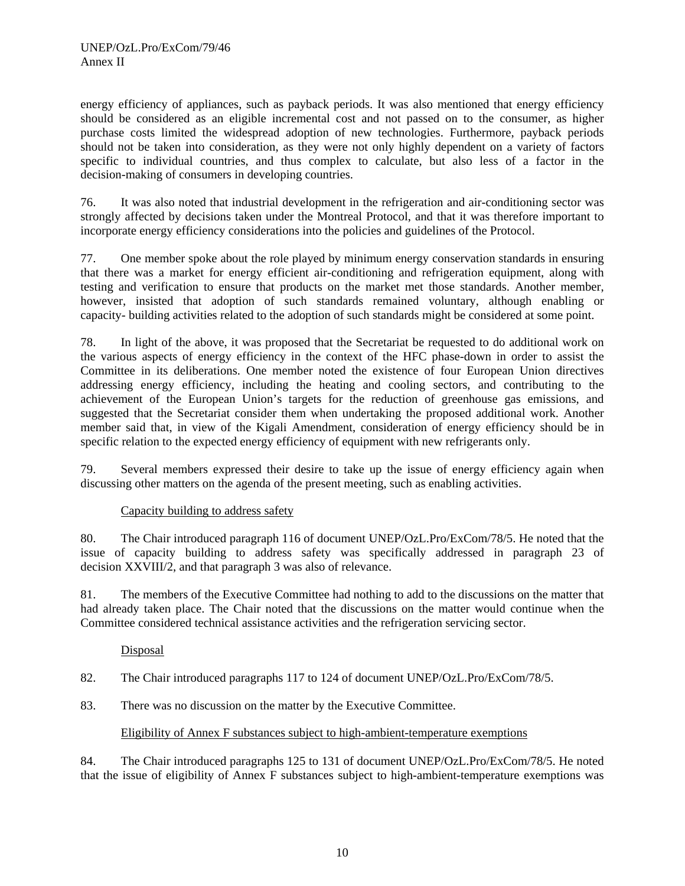energy efficiency of appliances, such as payback periods. It was also mentioned that energy efficiency should be considered as an eligible incremental cost and not passed on to the consumer, as higher purchase costs limited the widespread adoption of new technologies. Furthermore, payback periods should not be taken into consideration, as they were not only highly dependent on a variety of factors specific to individual countries, and thus complex to calculate, but also less of a factor in the decision-making of consumers in developing countries.

76. It was also noted that industrial development in the refrigeration and air-conditioning sector was strongly affected by decisions taken under the Montreal Protocol, and that it was therefore important to incorporate energy efficiency considerations into the policies and guidelines of the Protocol.

77. One member spoke about the role played by minimum energy conservation standards in ensuring that there was a market for energy efficient air-conditioning and refrigeration equipment, along with testing and verification to ensure that products on the market met those standards. Another member, however, insisted that adoption of such standards remained voluntary, although enabling or capacity- building activities related to the adoption of such standards might be considered at some point.

78. In light of the above, it was proposed that the Secretariat be requested to do additional work on the various aspects of energy efficiency in the context of the HFC phase-down in order to assist the Committee in its deliberations. One member noted the existence of four European Union directives addressing energy efficiency, including the heating and cooling sectors, and contributing to the achievement of the European Union's targets for the reduction of greenhouse gas emissions, and suggested that the Secretariat consider them when undertaking the proposed additional work. Another member said that, in view of the Kigali Amendment, consideration of energy efficiency should be in specific relation to the expected energy efficiency of equipment with new refrigerants only.

79. Several members expressed their desire to take up the issue of energy efficiency again when discussing other matters on the agenda of the present meeting, such as enabling activities.

# Capacity building to address safety

80. The Chair introduced paragraph 116 of document UNEP/OzL.Pro/ExCom/78/5. He noted that the issue of capacity building to address safety was specifically addressed in paragraph 23 of decision XXVIII/2, and that paragraph 3 was also of relevance.

81. The members of the Executive Committee had nothing to add to the discussions on the matter that had already taken place. The Chair noted that the discussions on the matter would continue when the Committee considered technical assistance activities and the refrigeration servicing sector.

#### Disposal

82. The Chair introduced paragraphs 117 to 124 of document UNEP/OzL.Pro/ExCom/78/5.

83. There was no discussion on the matter by the Executive Committee.

#### Eligibility of Annex F substances subject to high-ambient-temperature exemptions

84. The Chair introduced paragraphs 125 to 131 of document UNEP/OzL.Pro/ExCom/78/5. He noted that the issue of eligibility of Annex F substances subject to high-ambient-temperature exemptions was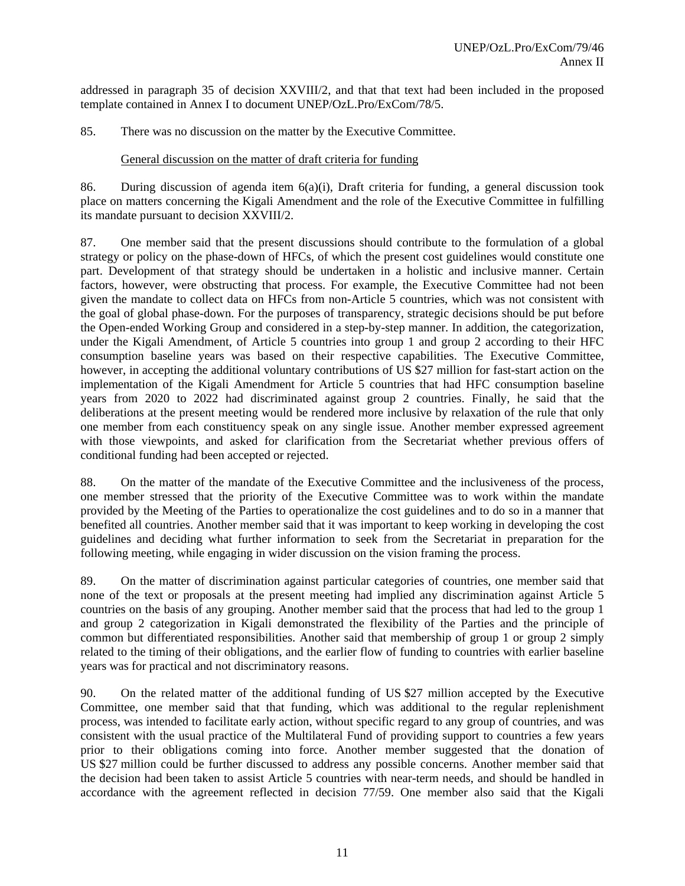addressed in paragraph 35 of decision XXVIII/2, and that that text had been included in the proposed template contained in Annex I to document UNEP/OzL.Pro/ExCom/78/5.

85. There was no discussion on the matter by the Executive Committee.

#### General discussion on the matter of draft criteria for funding

86. During discussion of agenda item  $6(a)(i)$ , Draft criteria for funding, a general discussion took place on matters concerning the Kigali Amendment and the role of the Executive Committee in fulfilling its mandate pursuant to decision XXVIII/2.

87. One member said that the present discussions should contribute to the formulation of a global strategy or policy on the phase-down of HFCs, of which the present cost guidelines would constitute one part. Development of that strategy should be undertaken in a holistic and inclusive manner. Certain factors, however, were obstructing that process. For example, the Executive Committee had not been given the mandate to collect data on HFCs from non-Article 5 countries, which was not consistent with the goal of global phase-down. For the purposes of transparency, strategic decisions should be put before the Open-ended Working Group and considered in a step-by-step manner. In addition, the categorization, under the Kigali Amendment, of Article 5 countries into group 1 and group 2 according to their HFC consumption baseline years was based on their respective capabilities. The Executive Committee, however, in accepting the additional voluntary contributions of US \$27 million for fast-start action on the implementation of the Kigali Amendment for Article 5 countries that had HFC consumption baseline years from 2020 to 2022 had discriminated against group 2 countries. Finally, he said that the deliberations at the present meeting would be rendered more inclusive by relaxation of the rule that only one member from each constituency speak on any single issue. Another member expressed agreement with those viewpoints, and asked for clarification from the Secretariat whether previous offers of conditional funding had been accepted or rejected.

88. On the matter of the mandate of the Executive Committee and the inclusiveness of the process, one member stressed that the priority of the Executive Committee was to work within the mandate provided by the Meeting of the Parties to operationalize the cost guidelines and to do so in a manner that benefited all countries. Another member said that it was important to keep working in developing the cost guidelines and deciding what further information to seek from the Secretariat in preparation for the following meeting, while engaging in wider discussion on the vision framing the process.

89. On the matter of discrimination against particular categories of countries, one member said that none of the text or proposals at the present meeting had implied any discrimination against Article 5 countries on the basis of any grouping. Another member said that the process that had led to the group 1 and group 2 categorization in Kigali demonstrated the flexibility of the Parties and the principle of common but differentiated responsibilities. Another said that membership of group 1 or group 2 simply related to the timing of their obligations, and the earlier flow of funding to countries with earlier baseline years was for practical and not discriminatory reasons.

90. On the related matter of the additional funding of US \$27 million accepted by the Executive Committee, one member said that that funding, which was additional to the regular replenishment process, was intended to facilitate early action, without specific regard to any group of countries, and was consistent with the usual practice of the Multilateral Fund of providing support to countries a few years prior to their obligations coming into force. Another member suggested that the donation of US \$27 million could be further discussed to address any possible concerns. Another member said that the decision had been taken to assist Article 5 countries with near-term needs, and should be handled in accordance with the agreement reflected in decision 77/59. One member also said that the Kigali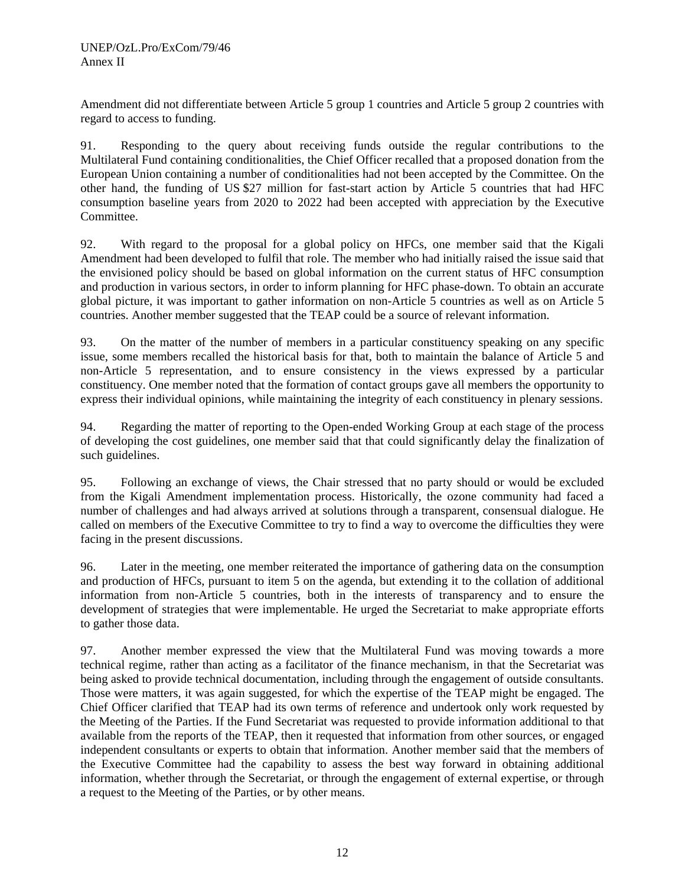Amendment did not differentiate between Article 5 group 1 countries and Article 5 group 2 countries with regard to access to funding.

91. Responding to the query about receiving funds outside the regular contributions to the Multilateral Fund containing conditionalities, the Chief Officer recalled that a proposed donation from the European Union containing a number of conditionalities had not been accepted by the Committee. On the other hand, the funding of US \$27 million for fast-start action by Article 5 countries that had HFC consumption baseline years from 2020 to 2022 had been accepted with appreciation by the Executive Committee.

92. With regard to the proposal for a global policy on HFCs, one member said that the Kigali Amendment had been developed to fulfil that role. The member who had initially raised the issue said that the envisioned policy should be based on global information on the current status of HFC consumption and production in various sectors, in order to inform planning for HFC phase-down. To obtain an accurate global picture, it was important to gather information on non-Article 5 countries as well as on Article 5 countries. Another member suggested that the TEAP could be a source of relevant information.

93. On the matter of the number of members in a particular constituency speaking on any specific issue, some members recalled the historical basis for that, both to maintain the balance of Article 5 and non-Article 5 representation, and to ensure consistency in the views expressed by a particular constituency. One member noted that the formation of contact groups gave all members the opportunity to express their individual opinions, while maintaining the integrity of each constituency in plenary sessions.

94. Regarding the matter of reporting to the Open-ended Working Group at each stage of the process of developing the cost guidelines, one member said that that could significantly delay the finalization of such guidelines.

95. Following an exchange of views, the Chair stressed that no party should or would be excluded from the Kigali Amendment implementation process. Historically, the ozone community had faced a number of challenges and had always arrived at solutions through a transparent, consensual dialogue. He called on members of the Executive Committee to try to find a way to overcome the difficulties they were facing in the present discussions.

96. Later in the meeting, one member reiterated the importance of gathering data on the consumption and production of HFCs, pursuant to item 5 on the agenda, but extending it to the collation of additional information from non-Article 5 countries, both in the interests of transparency and to ensure the development of strategies that were implementable. He urged the Secretariat to make appropriate efforts to gather those data.

97. Another member expressed the view that the Multilateral Fund was moving towards a more technical regime, rather than acting as a facilitator of the finance mechanism, in that the Secretariat was being asked to provide technical documentation, including through the engagement of outside consultants. Those were matters, it was again suggested, for which the expertise of the TEAP might be engaged. The Chief Officer clarified that TEAP had its own terms of reference and undertook only work requested by the Meeting of the Parties. If the Fund Secretariat was requested to provide information additional to that available from the reports of the TEAP, then it requested that information from other sources, or engaged independent consultants or experts to obtain that information. Another member said that the members of the Executive Committee had the capability to assess the best way forward in obtaining additional information, whether through the Secretariat, or through the engagement of external expertise, or through a request to the Meeting of the Parties, or by other means.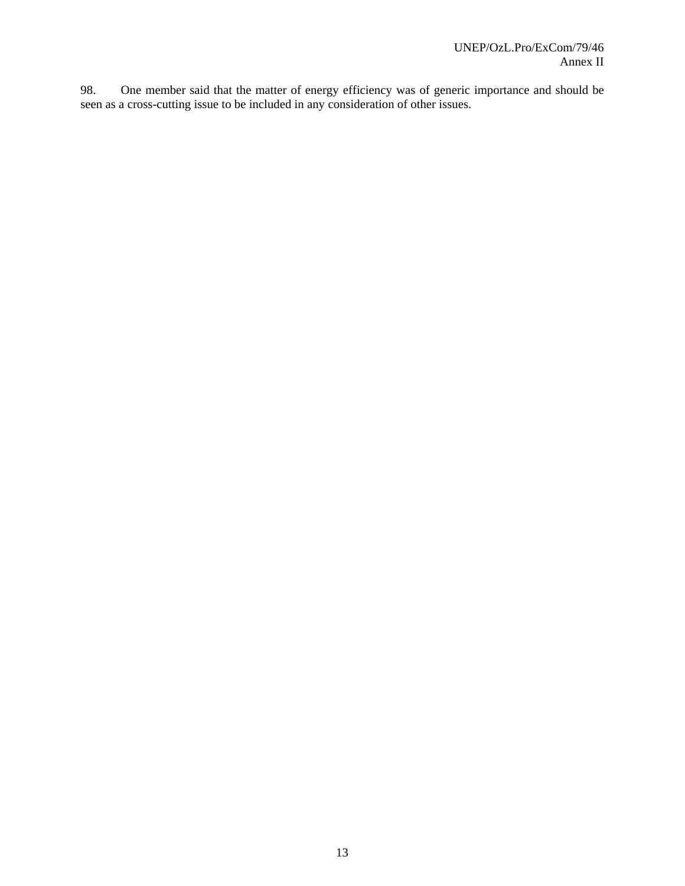98. One member said that the matter of energy efficiency was of generic importance and should be seen as a cross-cutting issue to be included in any consideration of other issues.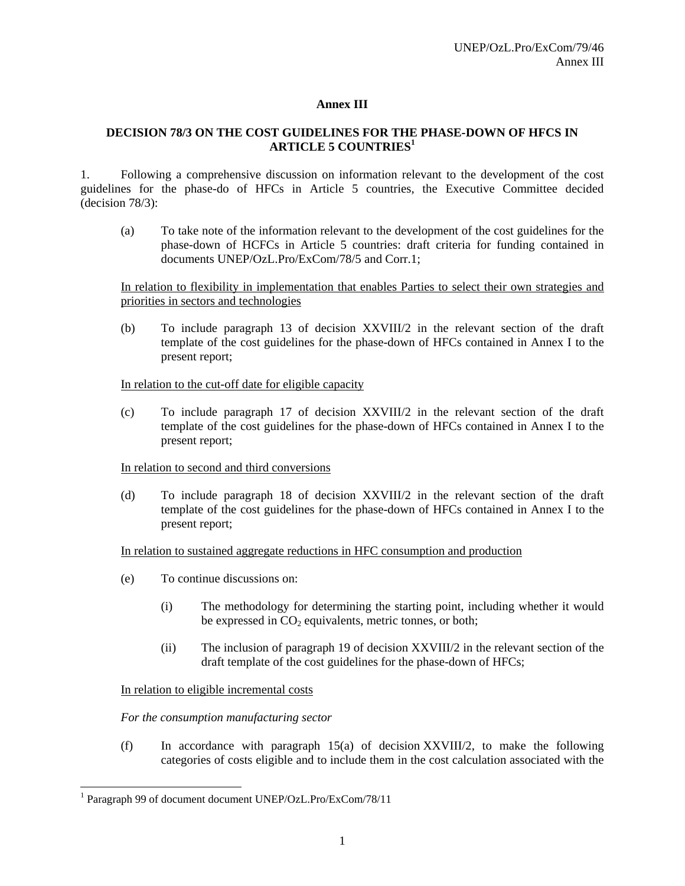# **Annex III**

# **DECISION 78/3 ON THE COST GUIDELINES FOR THE PHASE-DOWN OF HFCS IN ARTICLE 5 COUNTRIES<sup>1</sup>**

1. Following a comprehensive discussion on information relevant to the development of the cost guidelines for the phase-do of HFCs in Article 5 countries, the Executive Committee decided (decision 78/3):

(a) To take note of the information relevant to the development of the cost guidelines for the phase-down of HCFCs in Article 5 countries: draft criteria for funding contained in documents UNEP/OzL.Pro/ExCom/78/5 and Corr.1;

In relation to flexibility in implementation that enables Parties to select their own strategies and priorities in sectors and technologies

(b) To include paragraph 13 of decision XXVIII/2 in the relevant section of the draft template of the cost guidelines for the phase-down of HFCs contained in Annex I to the present report;

In relation to the cut-off date for eligible capacity

(c) To include paragraph 17 of decision XXVIII/2 in the relevant section of the draft template of the cost guidelines for the phase-down of HFCs contained in Annex I to the present report;

In relation to second and third conversions

(d) To include paragraph 18 of decision XXVIII/2 in the relevant section of the draft template of the cost guidelines for the phase-down of HFCs contained in Annex I to the present report;

In relation to sustained aggregate reductions in HFC consumption and production

- (e) To continue discussions on:
	- (i) The methodology for determining the starting point, including whether it would be expressed in  $CO<sub>2</sub>$  equivalents, metric tonnes, or both;
	- (ii) The inclusion of paragraph 19 of decision XXVIII/2 in the relevant section of the draft template of the cost guidelines for the phase-down of HFCs;

In relation to eligible incremental costs

l

*For the consumption manufacturing sector* 

(f) In accordance with paragraph 15(a) of decision XXVIII/2, to make the following categories of costs eligible and to include them in the cost calculation associated with the

<sup>&</sup>lt;sup>1</sup> Paragraph 99 of document document UNEP/OzL.Pro/ExCom/78/11